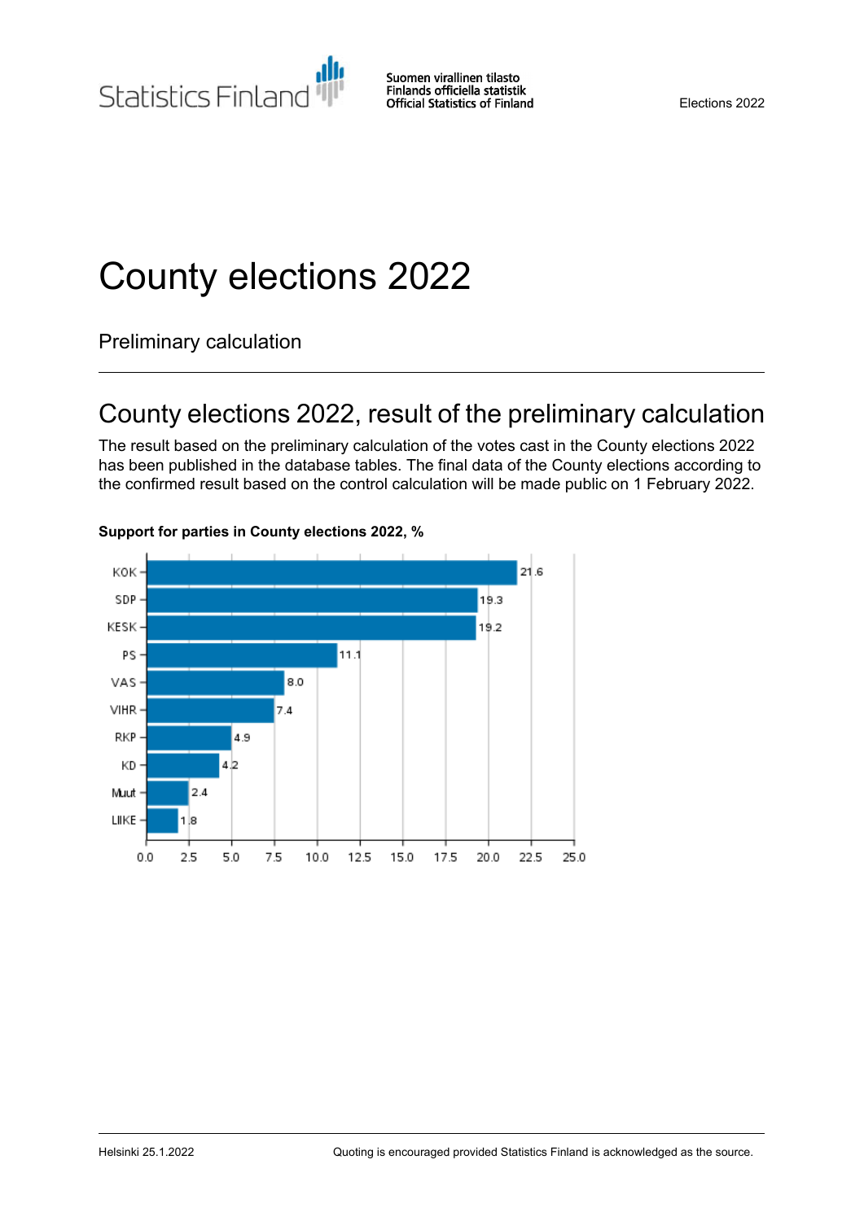Statistics Finland

# County elections 2022

Preliminary calculation

## County elections 2022, result of the preliminary calculation

The result based on the preliminary calculation of the votes cast in the County elections 2022 has been published in the database tables. The final data of the County elections according to the confirmed result based on the control calculation will be made public on 1 February 2022.



#### **Support for parties in County elections 2022, %**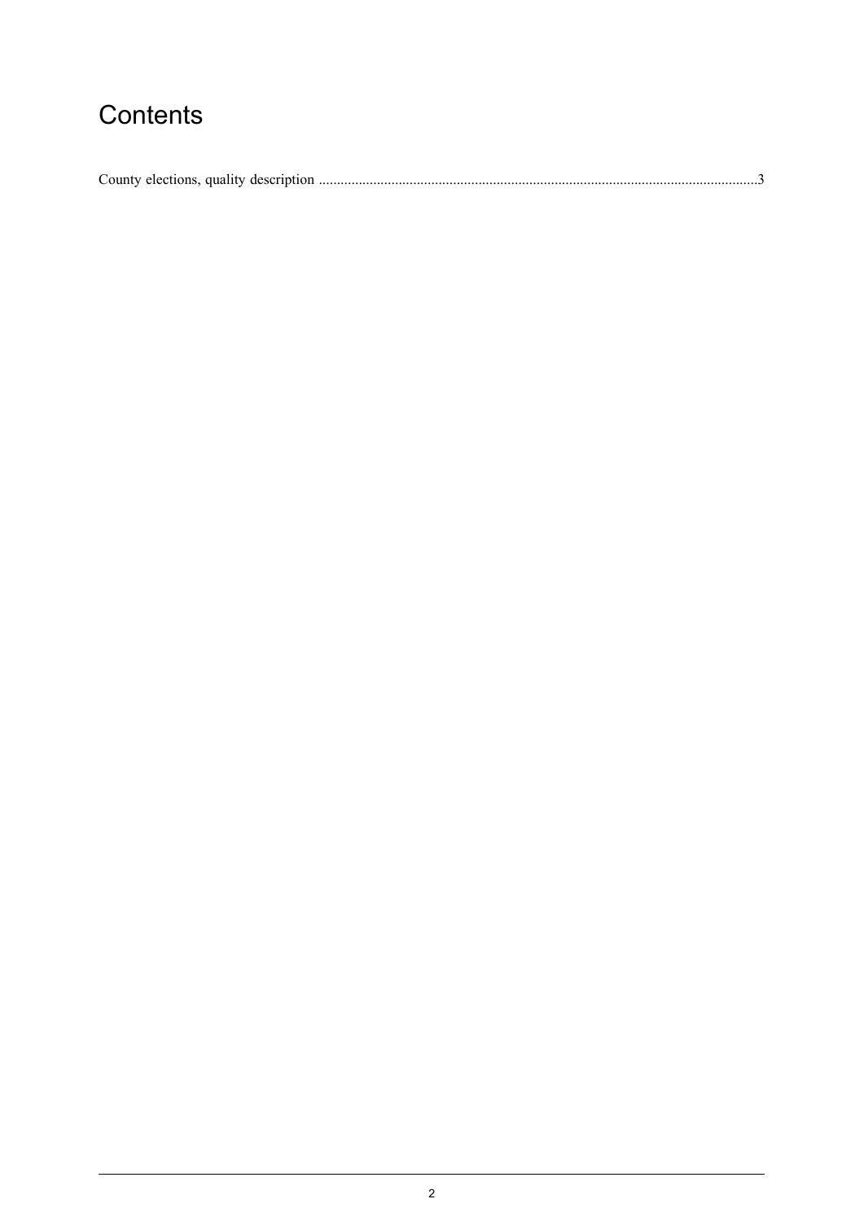## Contents

| County elections, quality description. |  |
|----------------------------------------|--|
|----------------------------------------|--|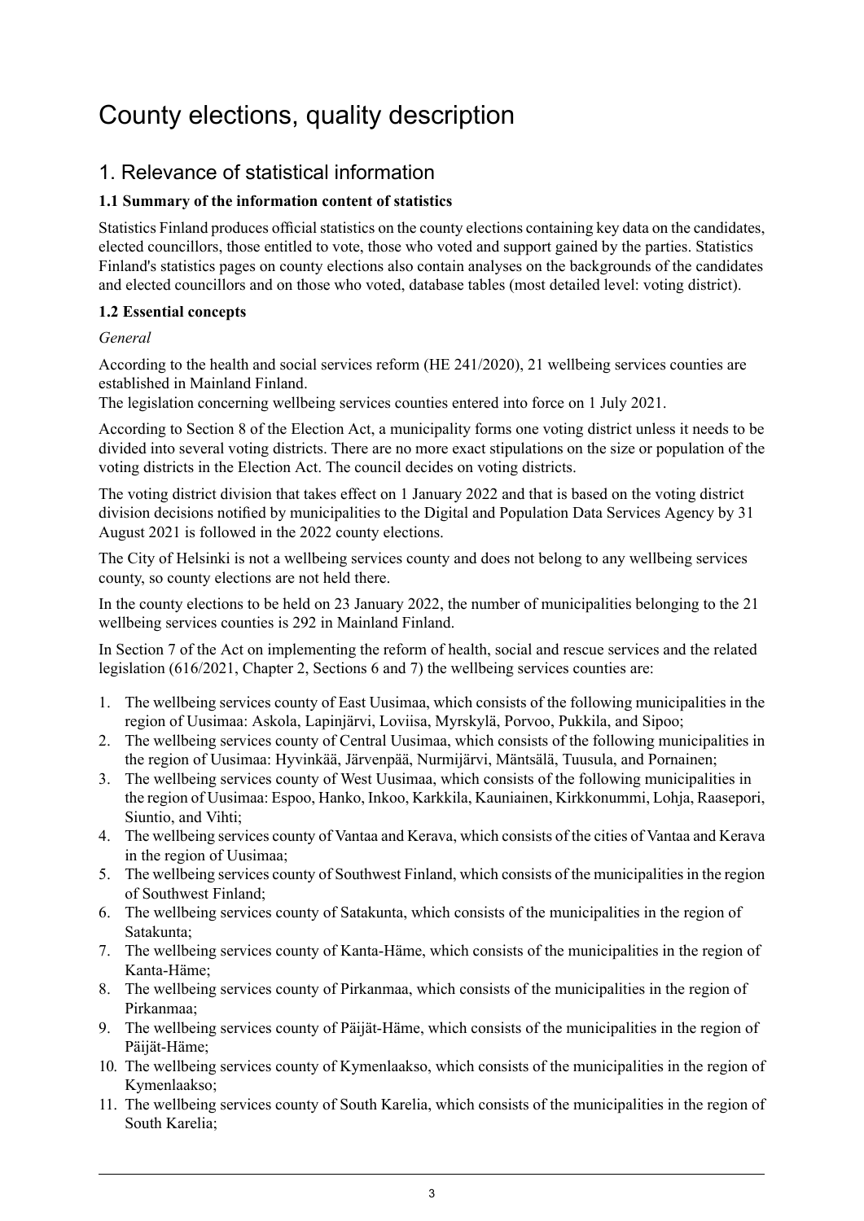## <span id="page-2-0"></span>County elections, quality description

## 1. Relevance of statistical information

## **1.1 Summary of the information content of statistics**

Statistics Finland produces official statistics on the county elections containing key data on the candidates, elected councillors, those entitled to vote, those who voted and support gained by the parties. Statistics Finland's statistics pages on county elections also contain analyses on the backgrounds of the candidates and elected councillors and on those who voted, database tables (most detailed level: voting district).

## **1.2 Essential concepts**

## *General*

According to the health and social services reform (HE 241/2020), 21 wellbeing services counties are established in Mainland Finland.

The legislation concerning wellbeing services counties entered into force on 1 July 2021.

According to Section 8 of the Election Act, a municipality forms one voting district unless it needs to be divided into several voting districts. There are no more exact stipulations on the size or population of the voting districts in the Election Act. The council decides on voting districts.

The voting district division that takes effect on 1 January 2022 and that is based on the voting district division decisions notified by municipalities to the Digital and Population Data Services Agency by 31 August 2021 is followed in the 2022 county elections.

The City of Helsinki is not a wellbeing services county and does not belong to any wellbeing services county, so county elections are not held there.

In the county elections to be held on 23 January 2022, the number of municipalities belonging to the 21 wellbeing services counties is 292 in Mainland Finland.

In Section 7 of the Act on implementing the reform of health, social and rescue services and the related legislation (616/2021, Chapter 2, Sections 6 and 7) the wellbeing services counties are:

- 1. The wellbeing services county of East Uusimaa, which consists of the following municipalities in the region of Uusimaa: Askola, Lapinjärvi, Loviisa, Myrskylä, Porvoo, Pukkila, and Sipoo;
- 2. The wellbeing services county of Central Uusimaa, which consists of the following municipalities in the region of Uusimaa: Hyvinkää, Järvenpää, Nurmijärvi, Mäntsälä, Tuusula, and Pornainen;
- 3. The wellbeing services county of West Uusimaa, which consists of the following municipalities in the region of Uusimaa: Espoo, Hanko, Inkoo, Karkkila, Kauniainen, Kirkkonummi, Lohja, Raasepori, Siuntio, and Vihti;
- 4. The wellbeing services county of Vantaa and Kerava, which consists of the cities of Vantaa and Kerava in the region of Uusimaa;
- 5. The wellbeing services county of Southwest Finland, which consists of the municipalities in the region of Southwest Finland;
- 6. The wellbeing services county of Satakunta, which consists of the municipalities in the region of Satakunta;
- 7. The wellbeing services county of Kanta-Häme, which consists of the municipalities in the region of Kanta-Häme;
- 8. The wellbeing services county of Pirkanmaa, which consists of the municipalities in the region of Pirkanmaa;
- 9. The wellbeing services county of Päijät-Häme, which consists of the municipalities in the region of Päijät-Häme;
- 10. The wellbeing services county of Kymenlaakso, which consists of the municipalities in the region of Kymenlaakso;
- 11. The wellbeing services county of South Karelia, which consists of the municipalities in the region of South Karelia;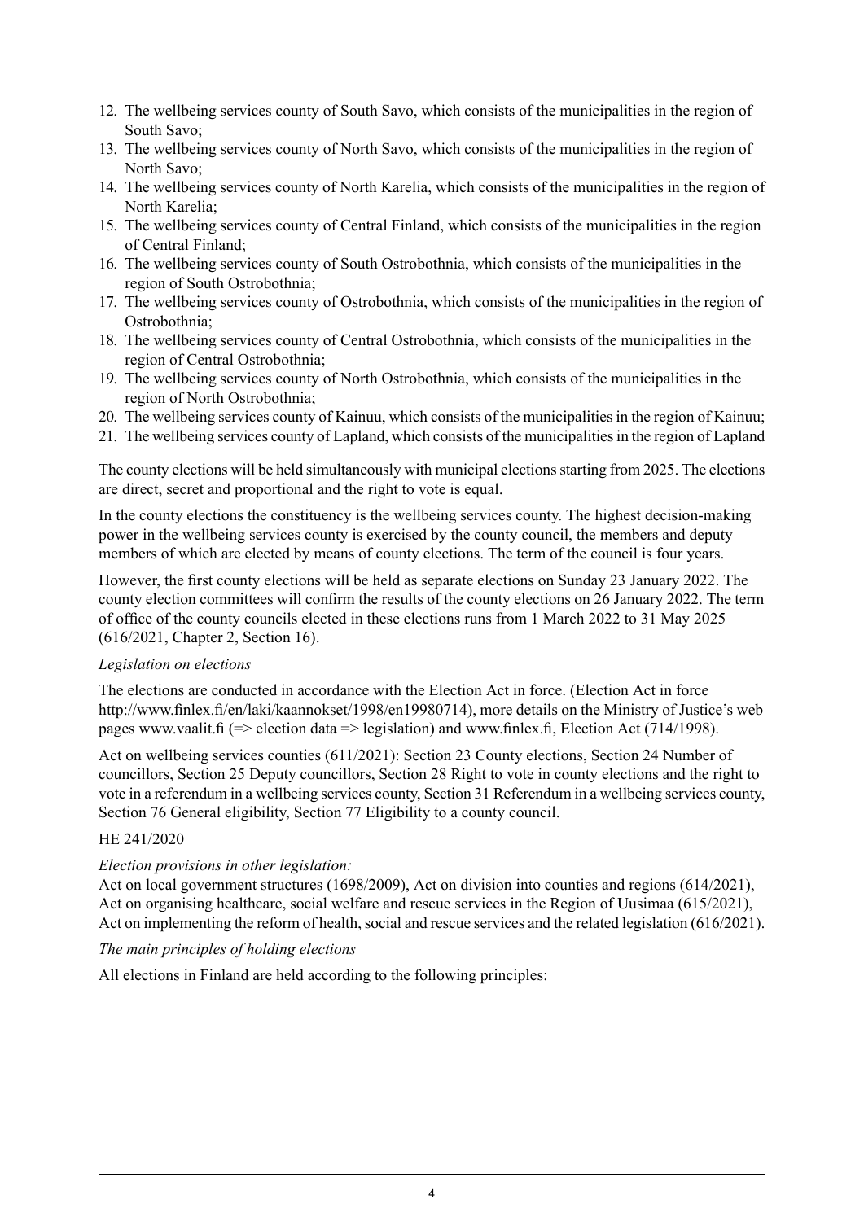- 12. The wellbeing services county of South Savo, which consists of the municipalities in the region of South Savo;
- 13. The wellbeing services county of North Savo, which consists of the municipalities in the region of North Savo;
- 14. The wellbeing services county of North Karelia, which consists of the municipalities in the region of North Karelia;
- 15. The wellbeing services county of Central Finland, which consists of the municipalities in the region of Central Finland;
- 16. The wellbeing services county of South Ostrobothnia, which consists of the municipalities in the region of South Ostrobothnia;
- 17. The wellbeing services county of Ostrobothnia, which consists of the municipalities in the region of Ostrobothnia;
- 18. The wellbeing services county of Central Ostrobothnia, which consists of the municipalities in the region of Central Ostrobothnia;
- 19. The wellbeing services county of North Ostrobothnia, which consists of the municipalities in the region of North Ostrobothnia;
- 20. The wellbeing services county of Kainuu, which consists of the municipalities in the region of Kainuu;
- 21. The wellbeing services county of Lapland, which consists of the municipalitiesin the region of Lapland

The county elections will be held simultaneously with municipal elections starting from 2025. The elections are direct, secret and proportional and the right to vote is equal.

In the county elections the constituency is the wellbeing services county. The highest decision-making power in the wellbeing services county is exercised by the county council, the members and deputy members of which are elected by means of county elections. The term of the council is four years.

However, the first county elections will be held as separate elections on Sunday 23 January 2022. The county election committees will confirm the results of the county elections on 26 January 2022. The term of office of the county councils elected in these elections runs from 1 March 2022 to 31 May 2025 (616/2021, Chapter 2, Section 16).

#### *Legislation on elections*

The elections are conducted in accordance with the Election Act in force. (Election Act in force http://www.finlex.fi/en/laki/kaannokset/1998/en19980714), more details on the Ministry of Justice's web pages www.vaalit.fi (=> election data => legislation) and www.finlex.fi, Election Act (714/1998).

Act on wellbeing services counties (611/2021): Section 23 County elections, Section 24 Number of councillors, Section 25 Deputy councillors, Section 28 Right to vote in county elections and the right to vote in a referendum in a wellbeing services county, Section 31 Referendum in a wellbeing services county, Section 76 General eligibility, Section 77 Eligibility to a county council.

## HE 241/2020

#### *Election provisions in other legislation:*

Act on local government structures (1698/2009), Act on division into counties and regions (614/2021), Act on organising healthcare, social welfare and rescue services in the Region of Uusimaa (615/2021), Act on implementing the reform of health, social and rescue services and the related legislation (616/2021).

#### *The main principles of holding elections*

All elections in Finland are held according to the following principles: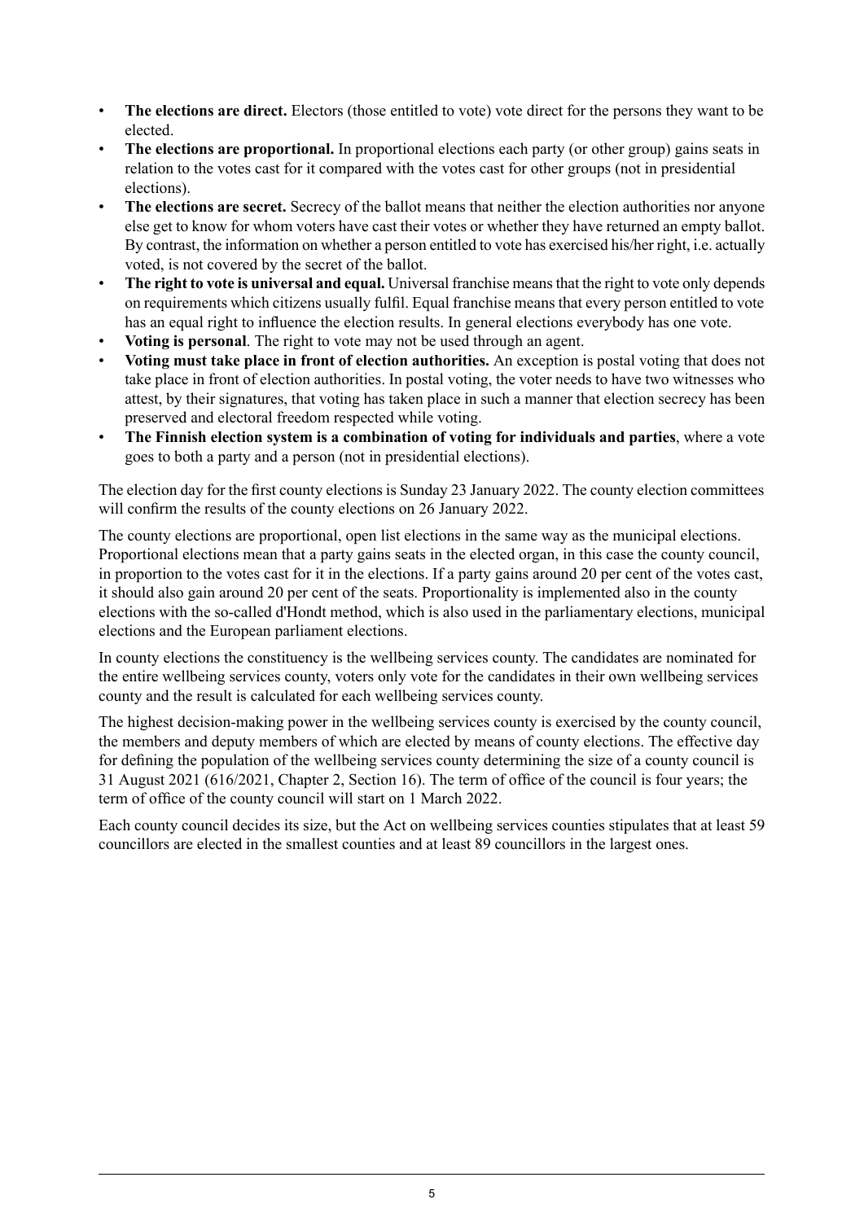- **The elections are direct.** Electors (those entitled to vote) vote direct for the persons they want to be elected.
- **The elections are proportional.** In proportional elections each party (or other group) gains seats in relation to the votes cast for it compared with the votes cast for other groups (not in presidential elections).
- **The elections are secret.** Secrecy of the ballot means that neither the election authorities nor anyone else get to know for whom voters have cast their votes or whether they have returned an empty ballot. By contrast, the information on whether a person entitled to vote has exercised his/her right, i.e. actually voted, is not covered by the secret of the ballot.
- **The right to vote is universal and equal.** Universal franchise meansthat the right to vote only depends on requirements which citizens usually fulfil. Equal franchise means that every person entitled to vote has an equal right to influence the election results. In general elections everybody has one vote.
- **Voting is personal**. The right to vote may not be used through an agent.
- **Voting must take place in front of election authorities.** An exception is postal voting that does not take place in front of election authorities. In postal voting, the voter needs to have two witnesses who attest, by their signatures, that voting has taken place in such a manner that election secrecy has been preserved and electoral freedom respected while voting.
- **The Finnish election system is a combination of voting for individuals and parties**, where a vote goes to both a party and a person (not in presidential elections).

The election day for the first county elections is Sunday 23 January 2022. The county election committees will confirm the results of the county elections on 26 January 2022.

The county elections are proportional, open list elections in the same way as the municipal elections. Proportional elections mean that a party gains seats in the elected organ, in this case the county council, in proportion to the votes cast for it in the elections. If a party gains around 20 per cent of the votes cast, it should also gain around 20 per cent of the seats. Proportionality is implemented also in the county elections with the so-called d'Hondt method, which is also used in the parliamentary elections, municipal elections and the European parliament elections.

In county elections the constituency is the wellbeing services county. The candidates are nominated for the entire wellbeing services county, voters only vote for the candidates in their own wellbeing services county and the result is calculated for each wellbeing services county.

The highest decision-making power in the wellbeing services county is exercised by the county council, the members and deputy members of which are elected by means of county elections. The effective day for defining the population of the wellbeing services county determining the size of a county council is 31 August 2021 (616/2021, Chapter 2, Section 16). The term of office of the council is four years; the term of office of the county council will start on 1 March 2022.

Each county council decides its size, but the Act on wellbeing services counties stipulates that at least 59 councillors are elected in the smallest counties and at least 89 councillors in the largest ones.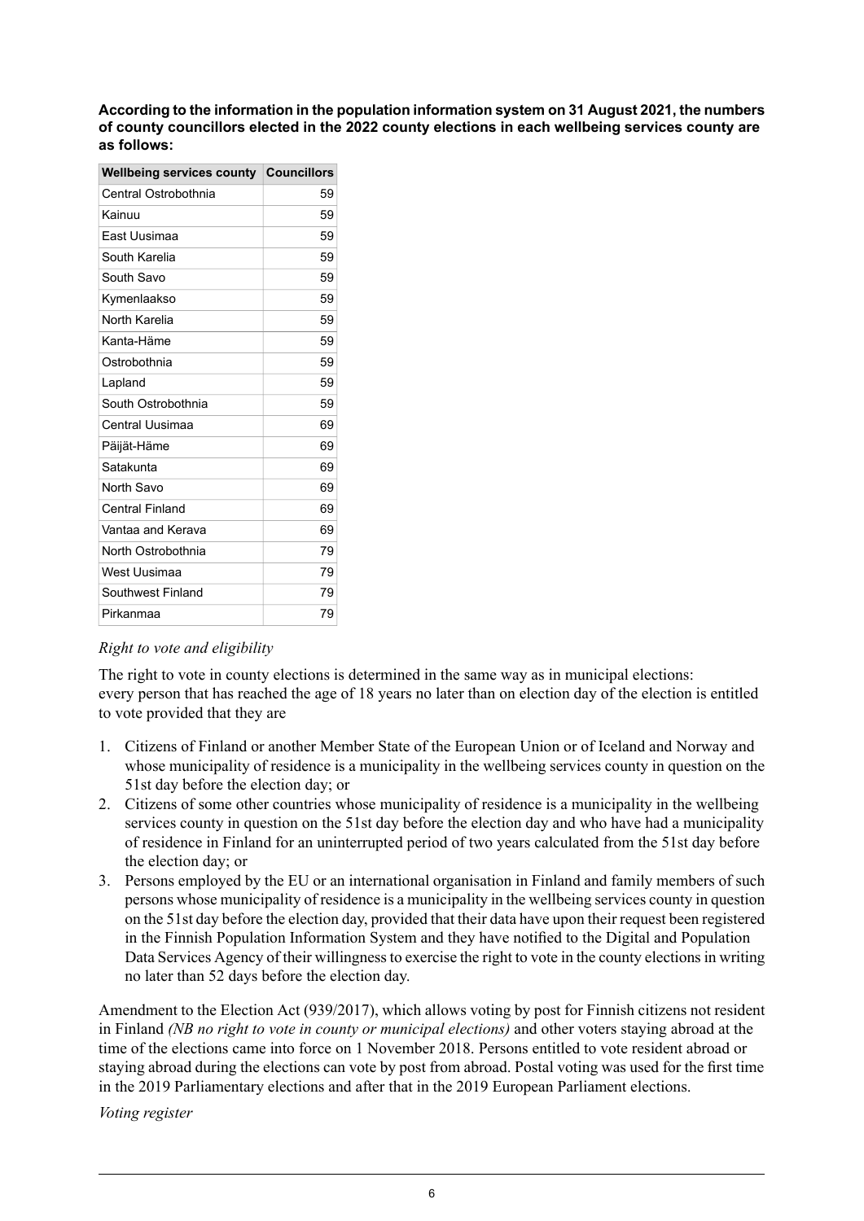**According to theinformation in the population information system on 31 August2021, the numbers of county councillors elected in the 2022 county elections in each wellbeing services county are as follows:**

| <b>Wellbeing services county</b> | <b>Councillors</b> |
|----------------------------------|--------------------|
| Central Ostrobothnia             | 59                 |
| Kainuu                           | 59                 |
| East Uusimaa                     | 59                 |
| South Karelia                    | 59                 |
| South Savo                       | 59                 |
| Kymenlaakso                      | 59                 |
| North Karelia                    | 59                 |
| Kanta-Häme                       | 59                 |
| Ostrobothnia                     | 59                 |
| Lapland                          | 59                 |
| South Ostrobothnia               | 59                 |
| Central Uusimaa                  | 69                 |
| Päijät-Häme                      | 69                 |
| Satakunta                        | 69                 |
| North Savo                       | 69                 |
| <b>Central Finland</b>           | 69                 |
| Vantaa and Kerava                | 69                 |
| North Ostrobothnia               | 79                 |
| West Uusimaa                     | 79                 |
| Southwest Finland                | 79                 |
| Pirkanmaa                        | 79                 |
|                                  |                    |

## *Right to vote and eligibility*

The right to vote in county elections is determined in the same way as in municipal elections: every person that has reached the age of 18 years no later than on election day of the election is entitled to vote provided that they are

- 1. Citizens of Finland or another Member State of the European Union or of Iceland and Norway and whose municipality of residence is a municipality in the wellbeing services county in question on the 51st day before the election day; or
- 2. Citizens of some other countries whose municipality of residence is a municipality in the wellbeing services county in question on the 51st day before the election day and who have had a municipality of residence in Finland for an uninterrupted period of two years calculated from the 51st day before the election day; or
- 3. Persons employed by the EU or an international organisation in Finland and family members of such persons whose municipality of residence is a municipality in the wellbeing services county in question on the 51st day before the election day, provided that their data have upon their request been registered in the Finnish Population Information System and they have notified to the Digital and Population Data Services Agency of their willingness to exercise the right to vote in the county elections in writing no later than 52 days before the election day.

Amendment to the Election Act (939/2017), which allows voting by post for Finnish citizens not resident in Finland *(NB no right to vote in county or municipal elections)* and other voters staying abroad at the time of the elections came into force on 1 November 2018. Persons entitled to vote resident abroad or staying abroad during the elections can vote by post from abroad. Postal voting was used for the first time in the 2019 Parliamentary elections and after that in the 2019 European Parliament elections.

*Voting register*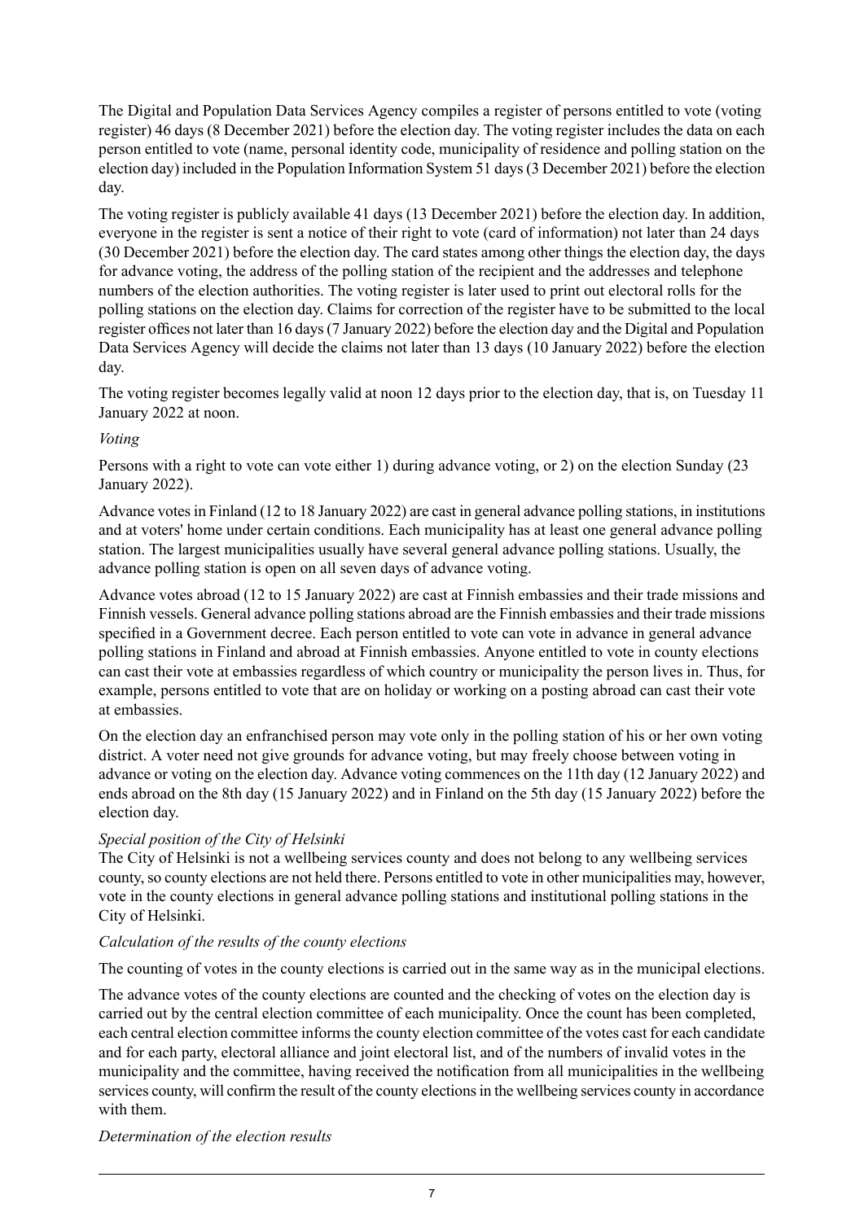The Digital and Population Data Services Agency compiles a register of persons entitled to vote (voting register) 46 days (8 December 2021) before the election day. The voting register includes the data on each person entitled to vote (name, personal identity code, municipality of residence and polling station on the election day) included in the Population Information System 51 days(3 December 2021) before the election day.

The voting register is publicly available 41 days (13 December 2021) before the election day. In addition, everyone in the register is sent a notice of their right to vote (card of information) not later than 24 days (30 December 2021) before the election day. The card states among other things the election day, the days for advance voting, the address of the polling station of the recipient and the addresses and telephone numbers of the election authorities. The voting register is later used to print out electoral rolls for the polling stations on the election day. Claims for correction of the register have to be submitted to the local register offices not later than 16 days(7 January 2022) before the election day and the Digital and Population Data Services Agency will decide the claims not later than 13 days (10 January 2022) before the election day.

The voting register becomes legally valid at noon 12 days prior to the election day, that is, on Tuesday 11 January 2022 at noon.

## *Voting*

Persons with a right to vote can vote either 1) during advance voting, or 2) on the election Sunday (23 January 2022).

Advance votesin Finland (12 to 18 January 2022) are cast in general advance polling stations, in institutions and at voters' home under certain conditions. Each municipality has at least one general advance polling station. The largest municipalities usually have several general advance polling stations. Usually, the advance polling station is open on all seven days of advance voting.

Advance votes abroad (12 to 15 January 2022) are cast at Finnish embassies and their trade missions and Finnish vessels. General advance polling stations abroad are the Finnish embassies and their trade missions specified in a Government decree. Each person entitled to vote can vote in advance in general advance polling stations in Finland and abroad at Finnish embassies. Anyone entitled to vote in county elections can cast their vote at embassies regardless of which country or municipality the person lives in. Thus, for example, persons entitled to vote that are on holiday or working on a posting abroad can cast their vote at embassies.

On the election day an enfranchised person may vote only in the polling station of his or her own voting district. A voter need not give grounds for advance voting, but may freely choose between voting in advance or voting on the election day. Advance voting commences on the 11th day (12 January 2022) and ends abroad on the 8th day (15 January 2022) and in Finland on the 5th day (15 January 2022) before the election day.

## *Special position of the City of Helsinki*

The City of Helsinki is not a wellbeing services county and does not belong to any wellbeing services county, so county elections are not held there. Persons entitled to vote in other municipalities may, however, vote in the county elections in general advance polling stations and institutional polling stations in the City of Helsinki.

## *Calculation of the results of the county elections*

The counting of votes in the county elections is carried out in the same way as in the municipal elections.

The advance votes of the county elections are counted and the checking of votes on the election day is carried out by the central election committee of each municipality. Once the count has been completed, each central election committee informs the county election committee of the votes cast for each candidate and for each party, electoral alliance and joint electoral list, and of the numbers of invalid votes in the municipality and the committee, having received the notification from all municipalities in the wellbeing services county, will confirm the result of the county elections in the wellbeing services county in accordance with them.

*Determination of the election results*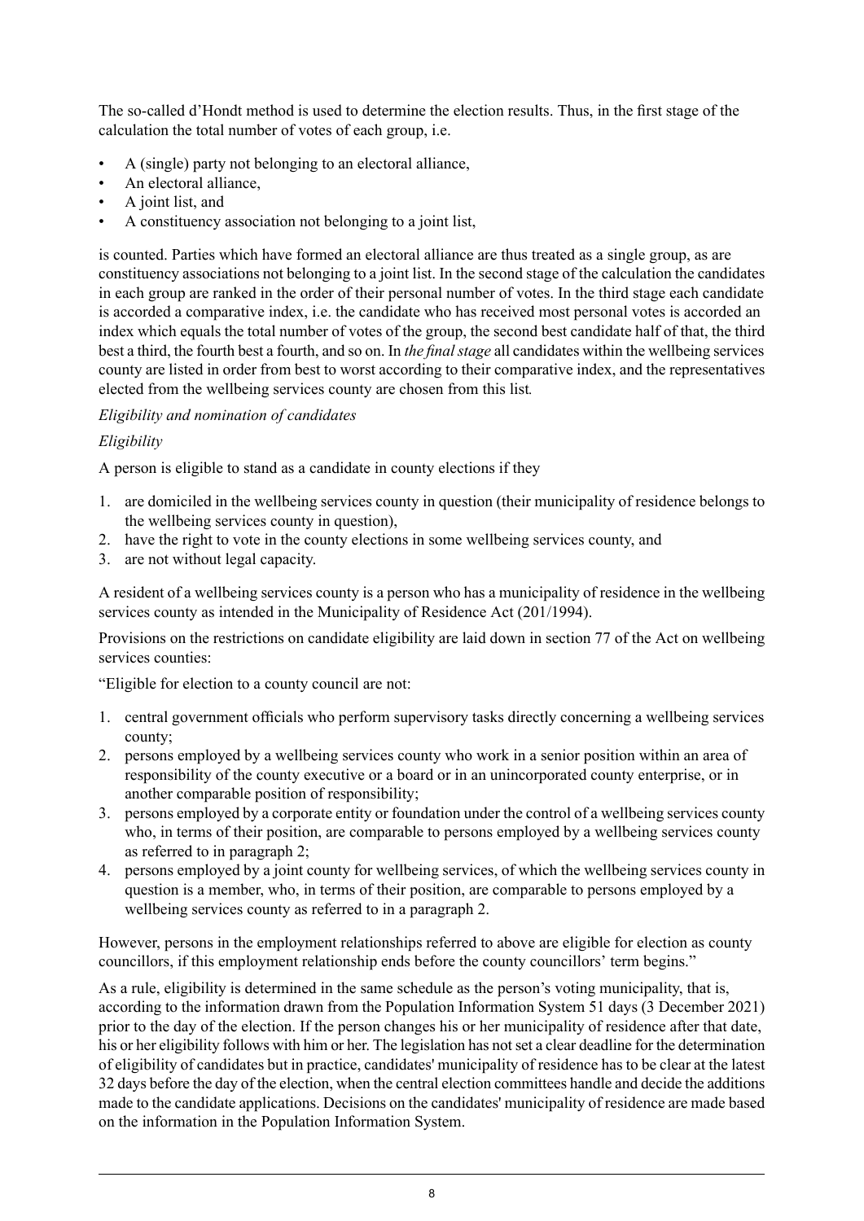The so-called d'Hondt method is used to determine the election results. Thus, in the first stage of the calculation the total number of votes of each group, i.e.

- A (single) party not belonging to an electoral alliance,
- An electoral alliance,
- A joint list, and
- A constituency association not belonging to a joint list,

is counted. Parties which have formed an electoral alliance are thus treated as a single group, as are constituency associations not belonging to a joint list. In the second stage of the calculation the candidates in each group are ranked in the order of their personal number of votes. In the third stage each candidate is accorded a comparative index, i.e. the candidate who has received most personal votes is accorded an index which equals the total number of votes of the group, the second best candidate half of that, the third best a third, the fourth best a fourth, and so on. In *the final stage* all candidates within the wellbeing services county are listed in order from best to worst according to their comparative index, and the representatives elected from the wellbeing services county are chosen from this list*.*

## *Eligibility and nomination of candidates*

## *Eligibility*

A person is eligible to stand as a candidate in county elections if they

- 1. are domiciled in the wellbeing services county in question (their municipality of residence belongs to the wellbeing services county in question),
- 2. have the right to vote in the county elections in some wellbeing services county, and
- 3. are not without legal capacity.

A resident of a wellbeing services county is a person who has a municipality of residence in the wellbeing services county as intended in the Municipality of Residence Act (201/1994).

Provisions on the restrictions on candidate eligibility are laid down in section 77 of the Act on wellbeing services counties:

"Eligible for election to a county council are not:

- 1. central government officials who perform supervisory tasks directly concerning a wellbeing services county;
- 2. persons employed by a wellbeing services county who work in a senior position within an area of responsibility of the county executive or a board or in an unincorporated county enterprise, or in another comparable position of responsibility;
- 3. persons employed by a corporate entity or foundation under the control of a wellbeing services county who, in terms of their position, are comparable to persons employed by a wellbeing services county as referred to in paragraph 2;
- 4. persons employed by a joint county for wellbeing services, of which the wellbeing services county in question is a member, who, in terms of their position, are comparable to persons employed by a wellbeing services county as referred to in a paragraph 2.

However, persons in the employment relationships referred to above are eligible for election as county councillors, if this employment relationship ends before the county councillors' term begins."

As a rule, eligibility is determined in the same schedule as the person's voting municipality, that is, according to the information drawn from the Population Information System 51 days (3 December 2021) prior to the day of the election. If the person changes his or her municipality of residence after that date, his or her eligibility follows with him or her. The legislation has not set a clear deadline for the determination of eligibility of candidates but in practice, candidates' municipality of residence has to be clear at the latest 32 days before the day of the election, when the central election committees handle and decide the additions made to the candidate applications. Decisions on the candidates' municipality of residence are made based on the information in the Population Information System.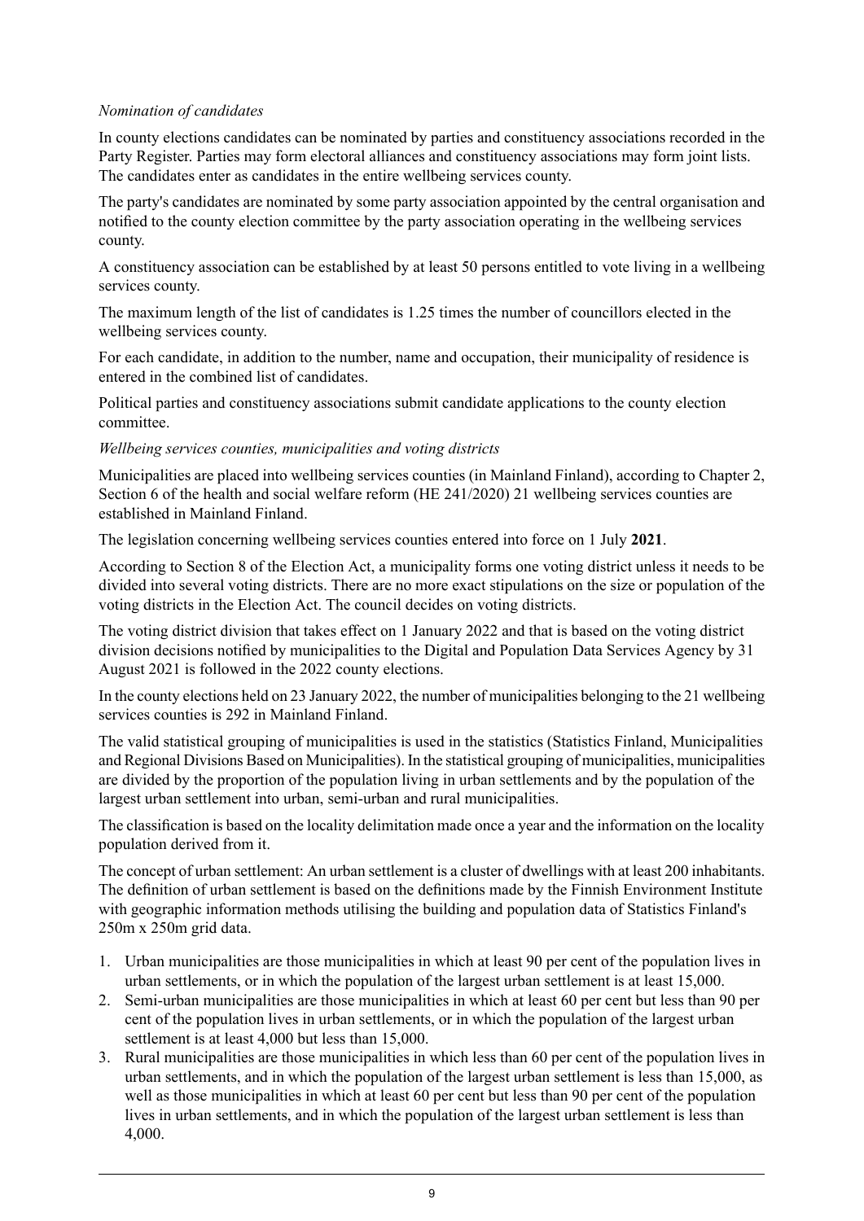### *Nomination of candidates*

In county elections candidates can be nominated by parties and constituency associations recorded in the Party Register. Parties may form electoral alliances and constituency associations may form joint lists. The candidates enter as candidates in the entire wellbeing services county.

The party's candidates are nominated by some party association appointed by the central organisation and notified to the county election committee by the party association operating in the wellbeing services county.

A constituency association can be established by at least 50 persons entitled to vote living in a wellbeing services county.

The maximum length of the list of candidates is 1.25 times the number of councillors elected in the wellbeing services county.

For each candidate, in addition to the number, name and occupation, their municipality of residence is entered in the combined list of candidates.

Political parties and constituency associations submit candidate applications to the county election committee.

### *Wellbeing services counties, municipalities and voting districts*

Municipalities are placed into wellbeing services counties (in Mainland Finland), according to Chapter 2, Section 6 of the health and social welfare reform (HE 241/2020) 21 wellbeing services counties are established in Mainland Finland.

The legislation concerning wellbeing services counties entered into force on 1 July **2021**.

According to Section 8 of the Election Act, a municipality forms one voting district unless it needs to be divided into several voting districts. There are no more exact stipulations on the size or population of the voting districts in the Election Act. The council decides on voting districts.

The voting district division that takes effect on 1 January 2022 and that is based on the voting district division decisions notified by municipalities to the Digital and Population Data Services Agency by 31 August 2021 is followed in the 2022 county elections.

In the county elections held on 23 January 2022, the number of municipalities belonging to the 21 wellbeing services counties is 292 in Mainland Finland.

The valid statistical grouping of municipalities is used in the statistics (Statistics Finland, Municipalities and Regional Divisions Based on Municipalities). In the statistical grouping of municipalities, municipalities are divided by the proportion of the population living in urban settlements and by the population of the largest urban settlement into urban, semi-urban and rural municipalities.

The classification is based on the locality delimitation made once a year and the information on the locality population derived from it.

The concept of urban settlement: An urban settlement is a cluster of dwellings with at least 200 inhabitants. The definition of urban settlement is based on the definitions made by the Finnish Environment Institute with geographic information methods utilising the building and population data of Statistics Finland's 250m x 250m grid data.

- 1. Urban municipalities are those municipalities in which at least 90 per cent of the population lives in urban settlements, or in which the population of the largest urban settlement is at least 15,000.
- 2. Semi-urban municipalities are those municipalities in which at least 60 per cent but less than 90 per cent of the population lives in urban settlements, or in which the population of the largest urban settlement is at least 4,000 but less than 15,000.
- 3. Rural municipalities are those municipalities in which less than 60 per cent of the population lives in urban settlements, and in which the population of the largest urban settlement is less than 15,000, as well as those municipalities in which at least 60 per cent but less than 90 per cent of the population lives in urban settlements, and in which the population of the largest urban settlement is less than 4,000.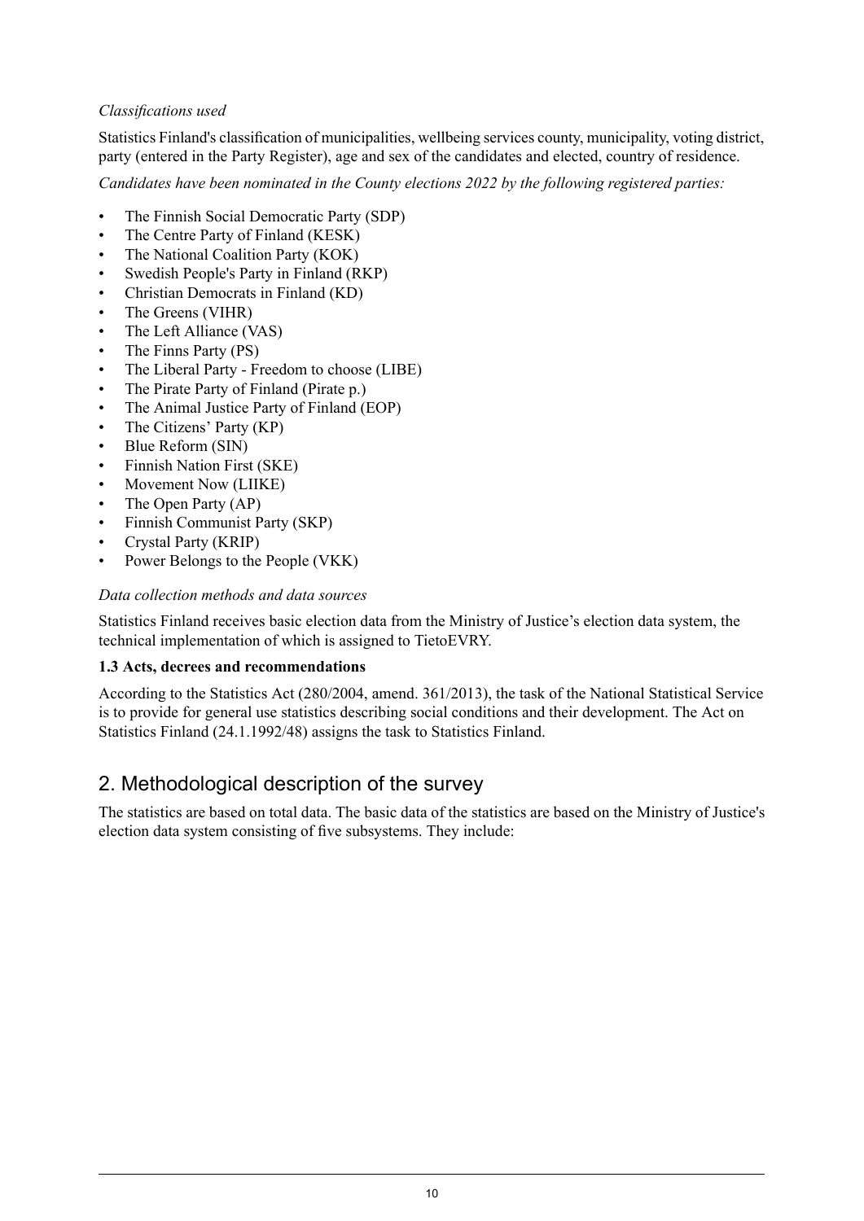## *Classifications used*

Statistics Finland's classification of municipalities, wellbeing services county, municipality, voting district, party (entered in the Party Register), age and sex of the candidates and elected, country of residence.

*Candidates have been nominated in the County elections 2022 by the following registered parties:*

- The Finnish Social Democratic Party (SDP)
- The Centre Party of Finland (KESK)
- The National Coalition Party (KOK)
- Swedish People's Party in Finland (RKP)
- Christian Democrats in Finland (KD)
- The Greens (VIHR)
- The Left Alliance (VAS)
- The Finns Party (PS)
- The Liberal Party Freedom to choose (LIBE)
- The Pirate Party of Finland (Pirate p.)
- The Animal Justice Party of Finland (EOP)
- The Citizens' Party (KP)
- Blue Reform (SIN)
- Finnish Nation First (SKE)
- Movement Now (LIIKE)
- The Open Party (AP)
- Finnish Communist Party (SKP)
- Crystal Party (KRIP)
- Power Belongs to the People (VKK)

## *Data collection methods and data sources*

Statistics Finland receives basic election data from the Ministry of Justice's election data system, the technical implementation of which is assigned to TietoEVRY.

## **1.3 Acts, decrees and recommendations**

According to the Statistics Act (280/2004, amend. 361/2013), the task of the National Statistical Service is to provide for general use statistics describing social conditions and their development. The Act on Statistics Finland (24.1.1992/48) assigns the task to Statistics Finland.

## 2. Methodological description of the survey

The statistics are based on total data. The basic data of the statistics are based on the Ministry of Justice's election data system consisting of five subsystems. They include: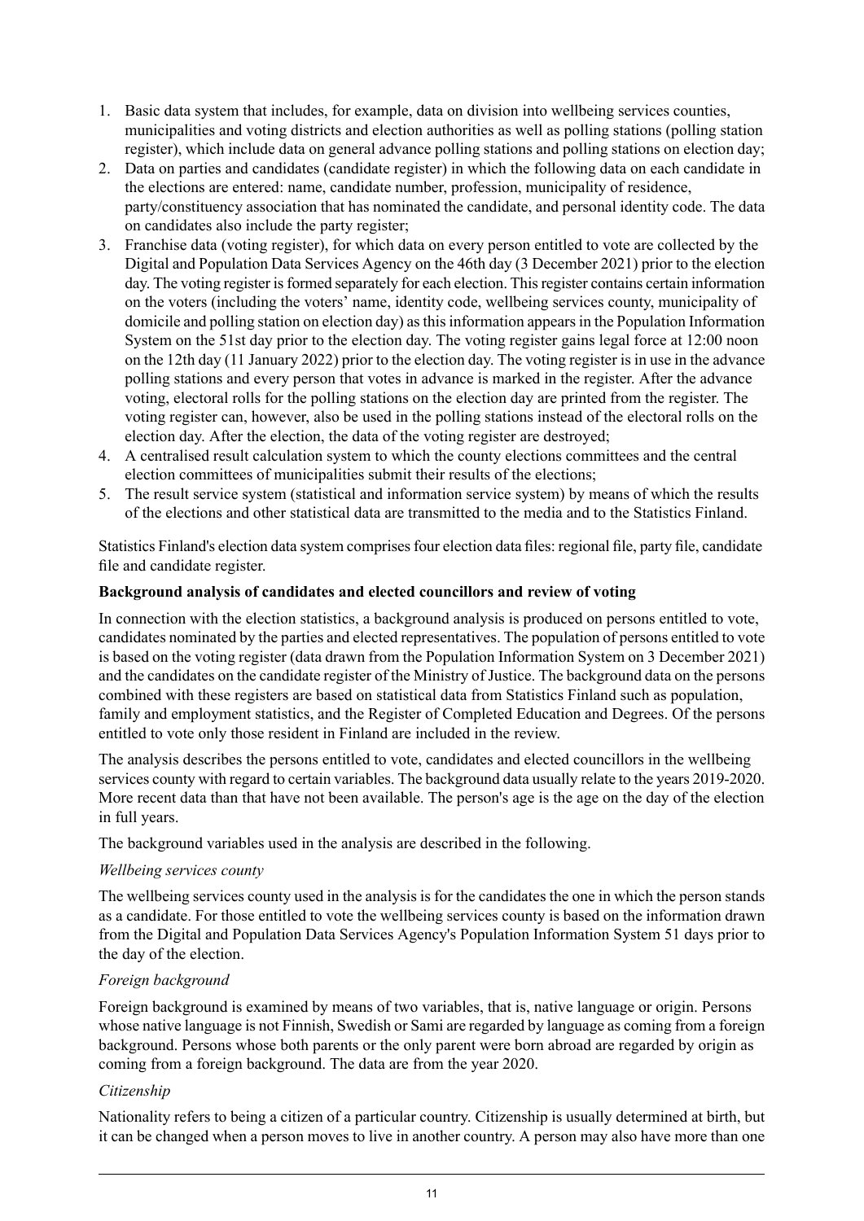- 1. Basic data system that includes, for example, data on division into wellbeing services counties, municipalities and voting districts and election authorities as well as polling stations (polling station register), which include data on general advance polling stations and polling stations on election day;
- 2. Data on parties and candidates (candidate register) in which the following data on each candidate in the elections are entered: name, candidate number, profession, municipality of residence, party/constituency association that has nominated the candidate, and personal identity code. The data on candidates also include the party register;
- 3. Franchise data (voting register), for which data on every person entitled to vote are collected by the Digital and Population Data Services Agency on the 46th day (3 December 2021) prior to the election day. The voting register is formed separately for each election. This register contains certain information on the voters (including the voters' name, identity code, wellbeing services county, municipality of domicile and polling station on election day) asthisinformation appearsin the Population Information System on the 51st day prior to the election day. The voting register gains legal force at 12:00 noon on the 12th day (11 January 2022) prior to the election day. The voting register is in use in the advance polling stations and every person that votes in advance is marked in the register. After the advance voting, electoral rolls for the polling stations on the election day are printed from the register. The voting register can, however, also be used in the polling stations instead of the electoral rolls on the election day. After the election, the data of the voting register are destroyed;
- 4. A centralised result calculation system to which the county elections committees and the central election committees of municipalities submit their results of the elections;
- 5. The result service system (statistical and information service system) by means of which the results of the elections and other statistical data are transmitted to the media and to the Statistics Finland.

Statistics Finland's election data system comprises four election data files: regional file, party file, candidate file and candidate register.

## **Background analysis of candidates and elected councillors and review of voting**

In connection with the election statistics, a background analysis is produced on persons entitled to vote, candidates nominated by the parties and elected representatives. The population of persons entitled to vote is based on the voting register (data drawn from the Population Information System on 3 December 2021) and the candidates on the candidate register of the Ministry of Justice. The background data on the persons combined with these registers are based on statistical data from Statistics Finland such as population, family and employment statistics, and the Register of Completed Education and Degrees. Of the persons entitled to vote only those resident in Finland are included in the review.

The analysis describes the persons entitled to vote, candidates and elected councillors in the wellbeing services county with regard to certain variables. The background data usually relate to the years 2019-2020. More recent data than that have not been available. The person's age is the age on the day of the election in full years.

The background variables used in the analysis are described in the following.

## *Wellbeing services county*

The wellbeing services county used in the analysis is for the candidates the one in which the person stands as a candidate. For those entitled to vote the wellbeing services county is based on the information drawn from the Digital and Population Data Services Agency's Population Information System 51 days prior to the day of the election.

## *Foreign background*

Foreign background is examined by means of two variables, that is, native language or origin. Persons whose native language is not Finnish, Swedish or Sami are regarded by language as coming from a foreign background. Persons whose both parents or the only parent were born abroad are regarded by origin as coming from a foreign background. The data are from the year 2020.

#### *Citizenship*

Nationality refers to being a citizen of a particular country. Citizenship is usually determined at birth, but it can be changed when a person moves to live in another country. A person may also have more than one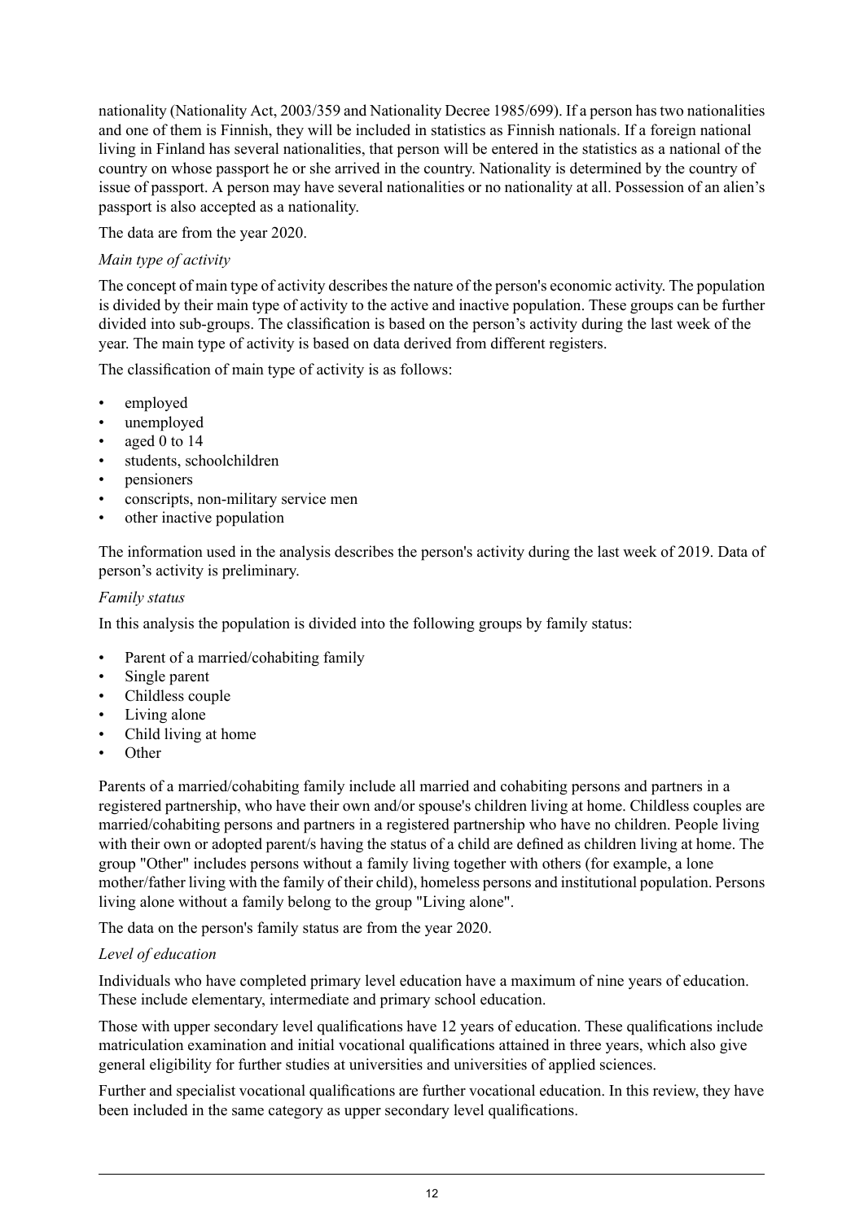nationality (Nationality Act, 2003/359 and Nationality Decree 1985/699). If a person has two nationalities and one of them is Finnish, they will be included in statistics as Finnish nationals. If a foreign national living in Finland has several nationalities, that person will be entered in the statistics as a national of the country on whose passport he or she arrived in the country. Nationality is determined by the country of issue of passport. A person may have several nationalities or no nationality at all. Possession of an alien's passport is also accepted as a nationality.

The data are from the year 2020.

## *Main type of activity*

The concept of main type of activity describes the nature of the person's economic activity. The population is divided by their main type of activity to the active and inactive population. These groups can be further divided into sub-groups. The classification is based on the person's activity during the last week of the year. The main type of activity is based on data derived from different registers.

The classification of main type of activity is as follows:

- employed
- unemployed
- aged 0 to 14
- students, schoolchildren
- pensioners
- conscripts, non-military service men
- other inactive population

The information used in the analysis describes the person's activity during the last week of 2019. Data of person's activity is preliminary.

## *Family status*

In this analysis the population is divided into the following groups by family status:

- Parent of a married/cohabiting family
- Single parent
- Childless couple
- Living alone
- Child living at home
- Other

Parents of a married/cohabiting family include all married and cohabiting persons and partners in a registered partnership, who have their own and/or spouse's children living at home. Childless couples are married/cohabiting persons and partners in a registered partnership who have no children. People living with their own or adopted parent/s having the status of a child are defined as children living at home. The group "Other" includes persons without a family living together with others (for example, a lone mother/father living with the family of their child), homeless persons and institutional population. Persons living alone without a family belong to the group "Living alone".

The data on the person's family status are from the year 2020.

## *Level of education*

Individuals who have completed primary level education have a maximum of nine years of education. These include elementary, intermediate and primary school education.

Those with upper secondary level qualifications have 12 years of education. These qualifications include matriculation examination and initial vocational qualifications attained in three years, which also give general eligibility for further studies at universities and universities of applied sciences.

Further and specialist vocational qualifications are further vocational education. In this review, they have been included in the same category as upper secondary level qualifications.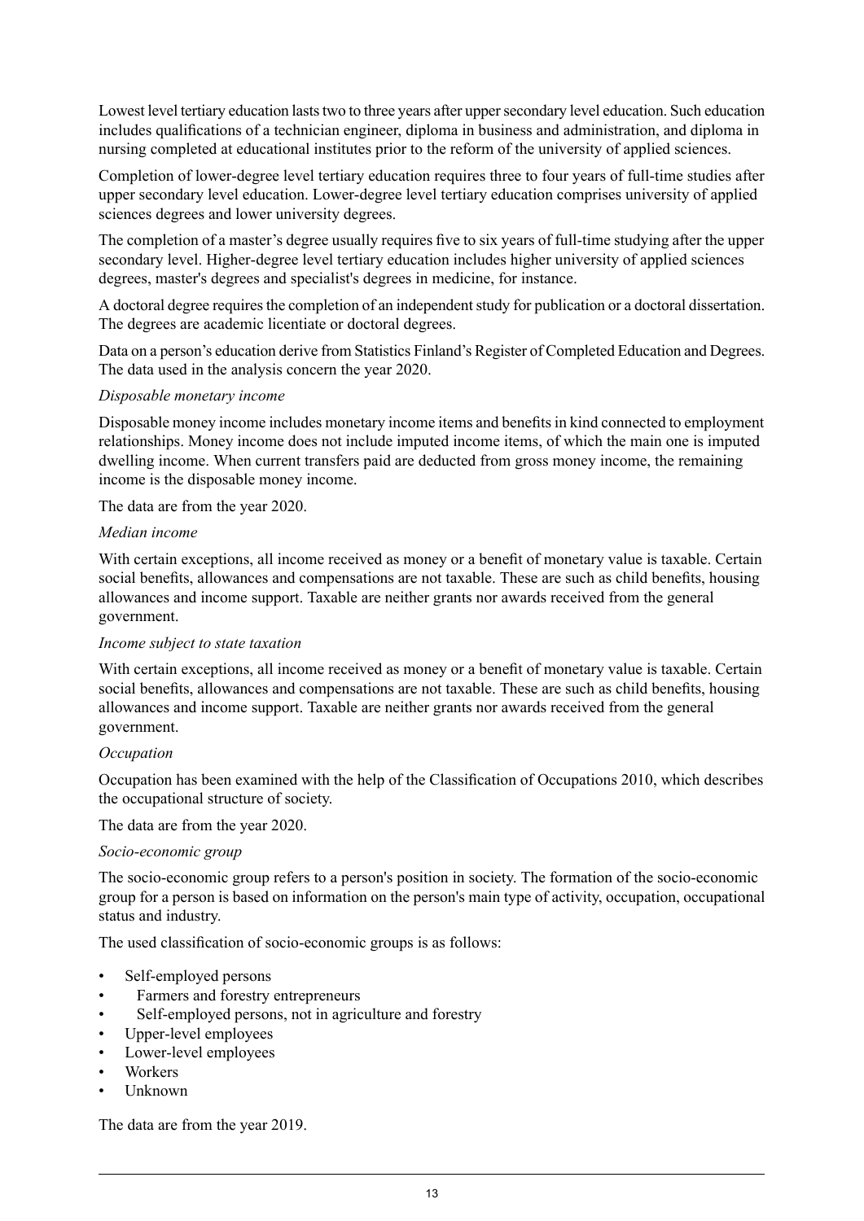Lowest level tertiary education lasts two to three years after upper secondary level education. Such education includes qualifications of a technician engineer, diploma in business and administration, and diploma in nursing completed at educational institutes prior to the reform of the university of applied sciences.

Completion of lower-degree level tertiary education requires three to four years of full-time studies after upper secondary level education. Lower-degree level tertiary education comprises university of applied sciences degrees and lower university degrees.

The completion of a master's degree usually requires five to six years of full-time studying after the upper secondary level. Higher-degree level tertiary education includes higher university of applied sciences degrees, master's degrees and specialist's degrees in medicine, for instance.

A doctoral degree requires the completion of an independent study for publication or a doctoral dissertation. The degrees are academic licentiate or doctoral degrees.

Data on a person's education derive from Statistics Finland's Register of Completed Education and Degrees. The data used in the analysis concern the year 2020.

### *Disposable monetary income*

Disposable money income includes monetary income items and benefitsin kind connected to employment relationships. Money income does not include imputed income items, of which the main one is imputed dwelling income. When current transfers paid are deducted from gross money income, the remaining income is the disposable money income.

The data are from the year 2020.

#### *Median income*

With certain exceptions, all income received as money or a benefit of monetary value is taxable. Certain social benefits, allowances and compensations are not taxable. These are such as child benefits, housing allowances and income support. Taxable are neither grants nor awards received from the general government.

#### *Income subject to state taxation*

With certain exceptions, all income received as money or a benefit of monetary value is taxable. Certain social benefits, allowances and compensations are not taxable. These are such as child benefits, housing allowances and income support. Taxable are neither grants nor awards received from the general government.

#### *Occupation*

Occupation has been examined with the help of the Classification of Occupations 2010, which describes the occupational structure of society.

The data are from the year 2020.

#### *Socio-economic group*

The socio-economic group refers to a person's position in society. The formation of the socio-economic group for a person is based on information on the person's main type of activity, occupation, occupational status and industry.

The used classification of socio-economic groups is as follows:

- Self-employed persons
- Farmers and forestry entrepreneurs
- Self-employed persons, not in agriculture and forestry
- Upper-level employees
- Lower-level employees
- Workers
- Unknown

The data are from the year 2019.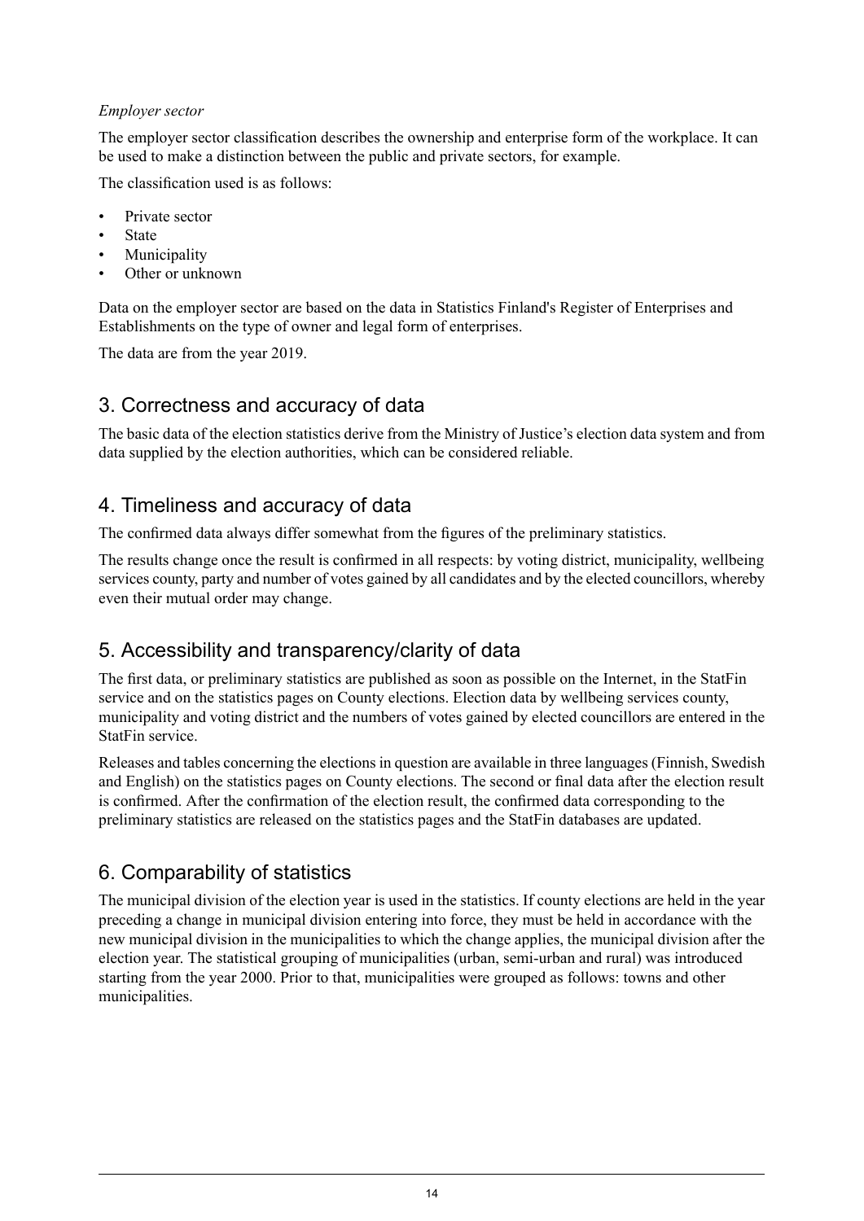## *Employer sector*

The employer sector classification describes the ownership and enterprise form of the workplace. It can be used to make a distinction between the public and private sectors, for example.

The classification used is as follows:

- Private sector
- **State**
- **Municipality**
- Other or unknown

Data on the employer sector are based on the data in Statistics Finland's Register of Enterprises and Establishments on the type of owner and legal form of enterprises.

The data are from the year 2019.

## 3. Correctness and accuracy of data

The basic data of the election statistics derive from the Ministry of Justice's election data system and from data supplied by the election authorities, which can be considered reliable.

## 4. Timeliness and accuracy of data

The confirmed data always differ somewhat from the figures of the preliminary statistics.

The results change once the result is confirmed in all respects: by voting district, municipality, wellbeing services county, party and number of votes gained by all candidates and by the elected councillors, whereby even their mutual order may change.

## 5. Accessibility and transparency/clarity of data

The first data, or preliminary statistics are published as soon as possible on the Internet, in the StatFin service and on the statistics pages on County elections. Election data by wellbeing services county, municipality and voting district and the numbers of votes gained by elected councillors are entered in the StatFin service.

Releases and tables concerning the elections in question are available in three languages (Finnish, Swedish and English) on the statistics pages on County elections. The second or final data after the election result is confirmed. After the confirmation of the election result, the confirmed data corresponding to the preliminary statistics are released on the statistics pages and the StatFin databases are updated.

## 6. Comparability of statistics

The municipal division of the election year is used in the statistics. If county elections are held in the year preceding a change in municipal division entering into force, they must be held in accordance with the new municipal division in the municipalities to which the change applies, the municipal division after the election year. The statistical grouping of municipalities (urban, semi-urban and rural) was introduced starting from the year 2000. Prior to that, municipalities were grouped as follows: towns and other municipalities.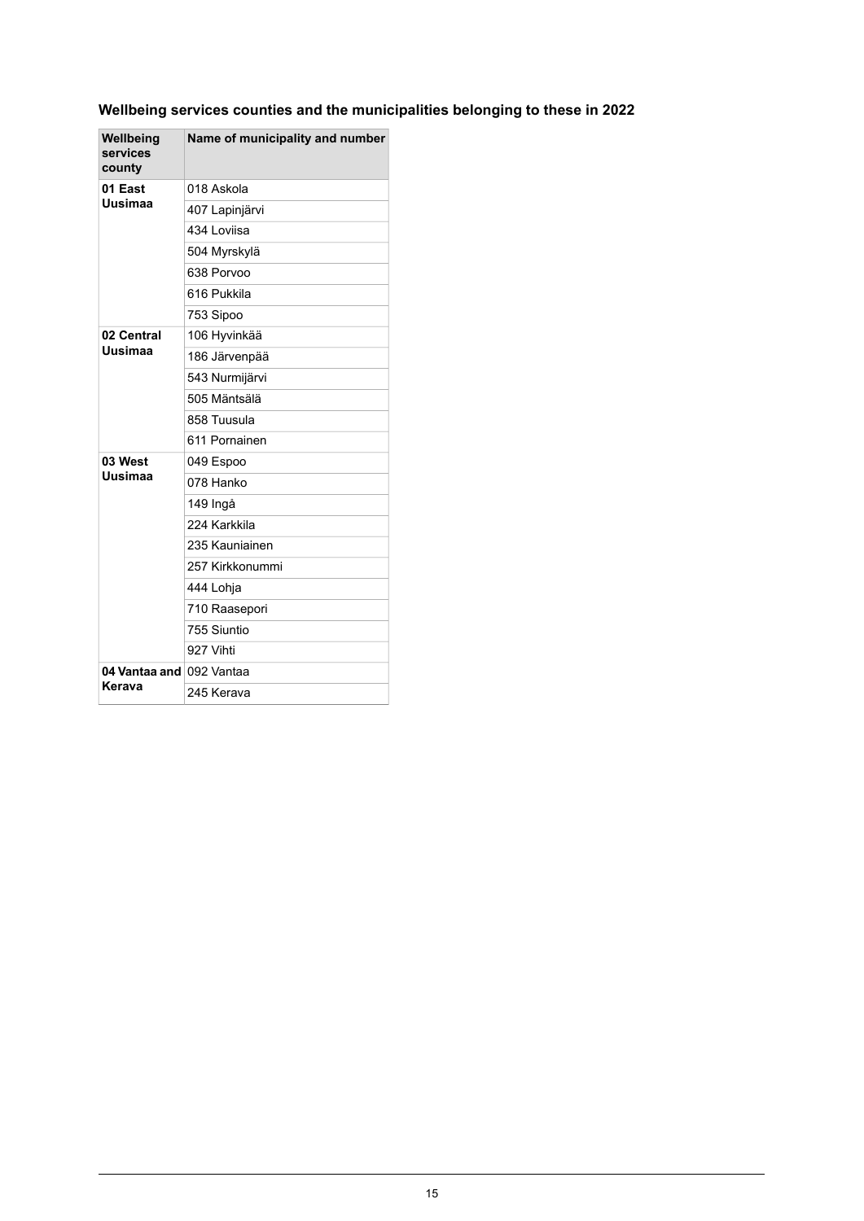## **Wellbeing services counties and the municipalities belonging to these in 2022**

| Wellbeing<br>services<br>county | Name of municipality and number |
|---------------------------------|---------------------------------|
| 01 East<br>Uusimaa              | 018 Askola                      |
|                                 | 407 Lapinjärvi                  |
|                                 | 434 Loviisa                     |
|                                 | 504 Myrskylä                    |
|                                 | 638 Porvoo                      |
|                                 | 616 Pukkila                     |
|                                 | 753 Sipoo                       |
| 02 Central                      | 106 Hyvinkää                    |
| Uusimaa                         | 186 Järvenpää                   |
|                                 | 543 Nurmijärvi                  |
|                                 | 505 Mäntsälä                    |
|                                 | 858 Tuusula                     |
|                                 | 611 Pornainen                   |
| 03 West                         | 049 Espoo                       |
| Uusimaa                         | 078 Hanko                       |
|                                 | 149 Ingå                        |
|                                 | 224 Karkkila                    |
|                                 | 235 Kauniainen                  |
|                                 | 257 Kirkkonummi                 |
|                                 | 444 Lohja                       |
|                                 | 710 Raasepori                   |
|                                 | 755 Siuntio                     |
|                                 | 927 Vihti                       |
| 04 Vantaa and 092 Vantaa        |                                 |
| Kerava                          | 245 Kerava                      |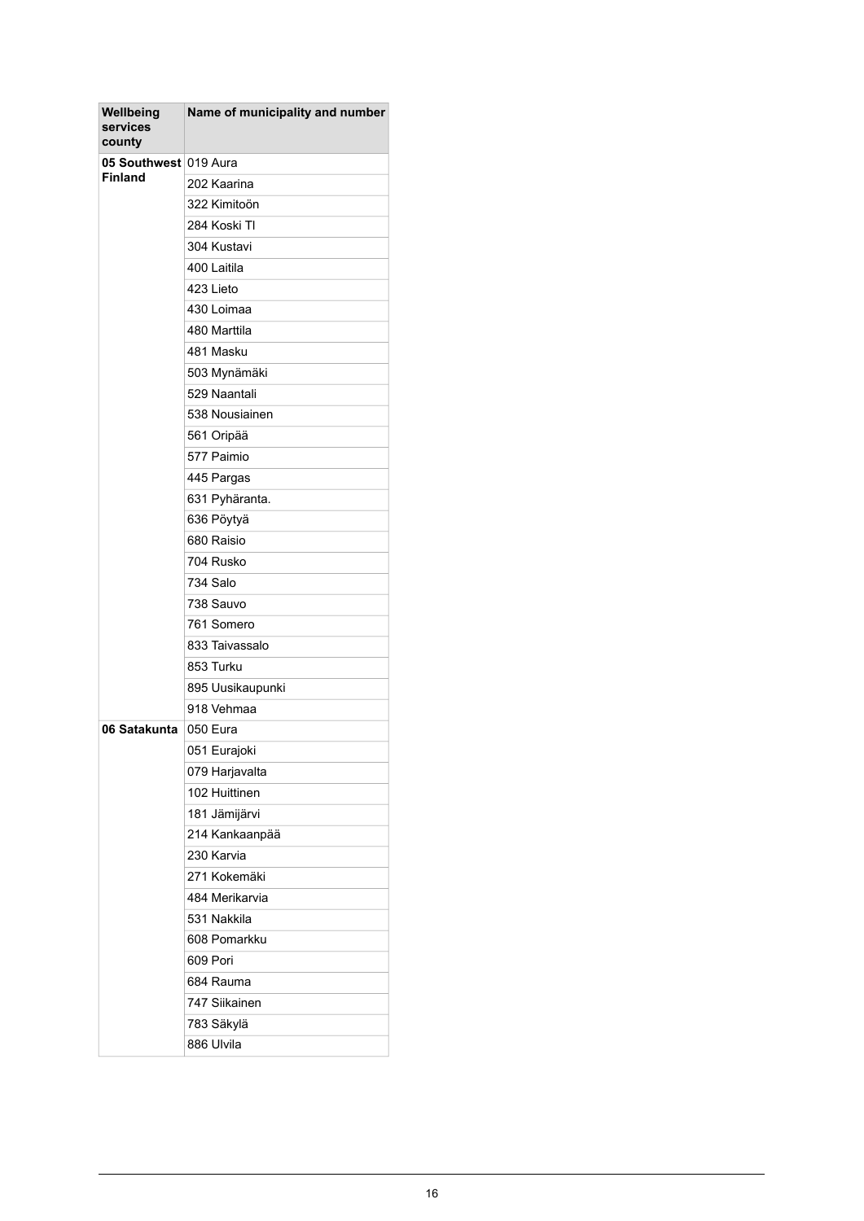| Wellbeing<br>services<br>county         | Name of municipality and number |
|-----------------------------------------|---------------------------------|
| 05 Southwest 019 Aura<br><b>Finland</b> |                                 |
|                                         | 202 Kaarina                     |
|                                         | 322 Kimitoön                    |
|                                         | 284 Koski TI                    |
|                                         | 304 Kustavi                     |
|                                         | 400 Laitila                     |
|                                         | 423 Lieto                       |
|                                         | 430 Loimaa                      |
|                                         | 480 Marttila                    |
|                                         | 481 Masku                       |
|                                         | 503 Mynämäki                    |
|                                         | 529 Naantali                    |
|                                         | 538 Nousiainen                  |
|                                         | 561 Oripää                      |
|                                         | 577 Paimio                      |
|                                         | 445 Pargas                      |
|                                         | 631 Pyhäranta.                  |
|                                         | 636 Pöytyä                      |
|                                         | 680 Raisio                      |
|                                         | 704 Rusko                       |
|                                         | 734 Salo                        |
|                                         | 738 Sauvo                       |
|                                         | 761 Somero                      |
|                                         | 833 Taivassalo                  |
|                                         | 853 Turku                       |
|                                         | 895 Uusikaupunki                |
|                                         | 918 Vehmaa                      |
| 06 Satakunta                            | 050 Eura                        |
|                                         | 051 Eurajoki                    |
|                                         | 079 Harjavalta                  |
|                                         | 102 Huittinen                   |
|                                         | 181 Jämijärvi                   |
|                                         | 214 Kankaanpää                  |
|                                         | 230 Karvia                      |
|                                         | 271 Kokemäki                    |
|                                         | 484 Merikarvia                  |
|                                         | 531 Nakkila                     |
|                                         | 608 Pomarkku                    |
|                                         | 609 Pori                        |
|                                         | 684 Rauma                       |
|                                         | 747 Siikainen                   |
|                                         | 783 Säkylä                      |
|                                         | 886 Ulvila                      |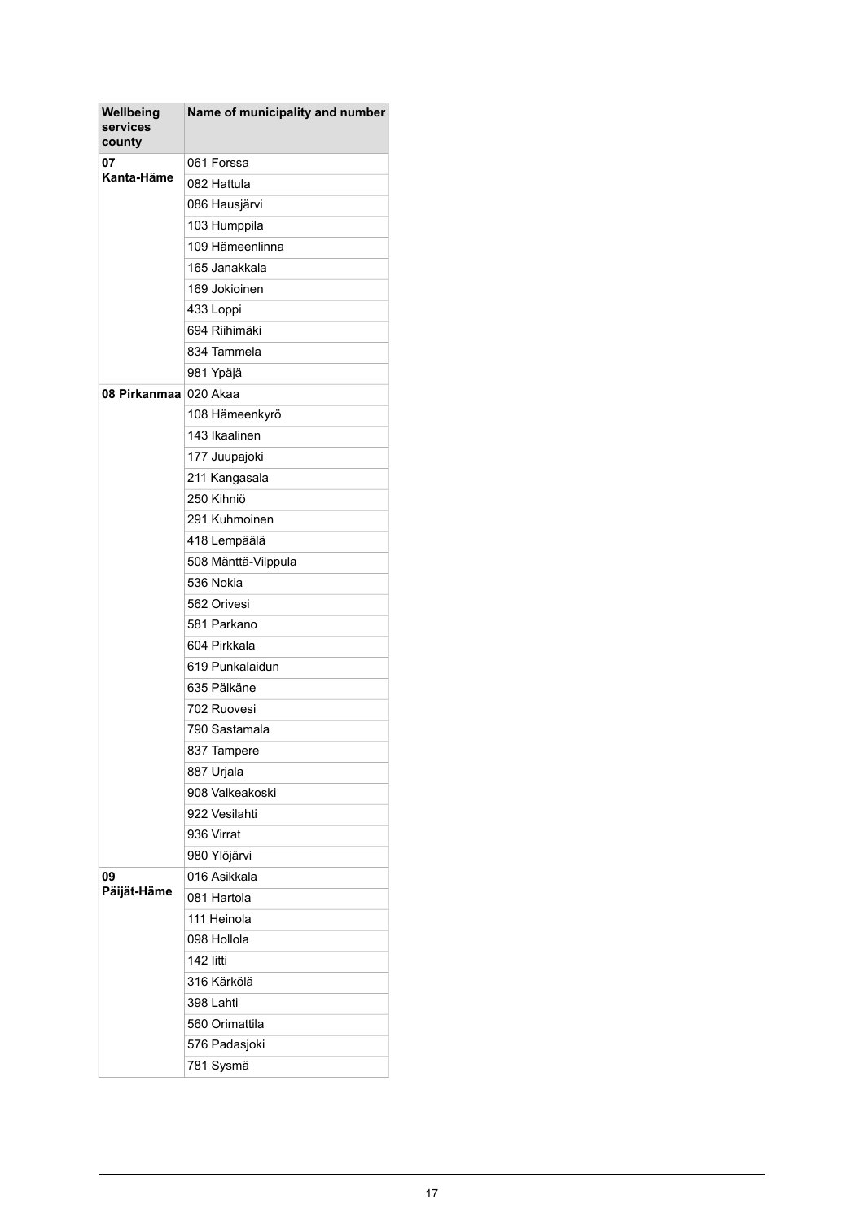| Wellbeing<br>services<br>county | Name of municipality and number |
|---------------------------------|---------------------------------|
| 07<br>Kanta-Häme                | 061 Forssa                      |
|                                 | 082 Hattula                     |
|                                 | 086 Hausjärvi                   |
|                                 | 103 Humppila                    |
|                                 | 109 Hämeenlinna                 |
|                                 | 165 Janakkala                   |
|                                 | 169 Jokioinen                   |
|                                 | 433 Loppi                       |
|                                 | 694 Riihimäki                   |
|                                 | 834 Tammela                     |
|                                 | 981 Ypäjä                       |
| 08 Pirkanmaa ∣                  | 020 Akaa                        |
|                                 | 108 Hämeenkyrö                  |
|                                 | 143 Ikaalinen                   |
|                                 | 177 Juupajoki                   |
|                                 | 211 Kangasala                   |
|                                 | 250 Kihniö                      |
|                                 | 291 Kuhmoinen                   |
|                                 | 418 Lempäälä                    |
|                                 | 508 Mänttä-Vilppula             |
|                                 | 536 Nokia                       |
|                                 | 562 Orivesi                     |
|                                 | 581 Parkano                     |
|                                 | 604 Pirkkala                    |
|                                 | 619 Punkalaidun                 |
|                                 | 635 Pälkäne                     |
|                                 | 702 Ruovesi                     |
|                                 | 790 Sastamala                   |
|                                 | 837 Tampere                     |
|                                 | 887 Urjala                      |
|                                 | 908 Valkeakoski                 |
|                                 | 922 Vesilahti                   |
|                                 | 936 Virrat                      |
|                                 | 980 Ylöjärvi                    |
| 09                              | 016 Asikkala                    |
| Päijät-Häme                     | 081 Hartola                     |
|                                 | 111 Heinola                     |
|                                 | 098 Hollola                     |
|                                 | 142 litti                       |
|                                 | 316 Kärkölä                     |
|                                 | 398 Lahti                       |
|                                 | 560 Orimattila                  |
|                                 | 576 Padasjoki                   |
|                                 | 781 Sysmä                       |
|                                 |                                 |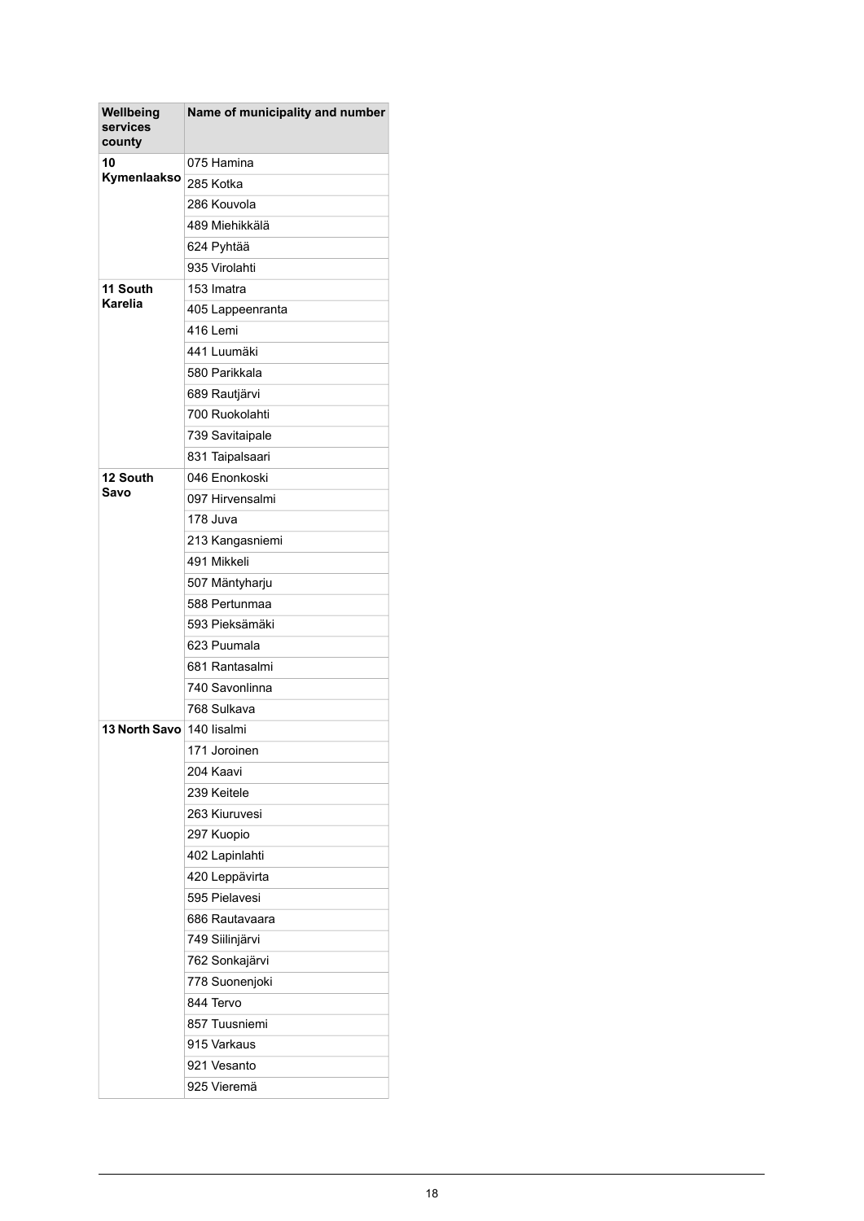| Wellbeing<br>services<br>county | Name of municipality and number |
|---------------------------------|---------------------------------|
| 10                              | 075 Hamina                      |
| Kymenlaakso                     | 285 Kotka                       |
|                                 | 286 Kouvola                     |
|                                 | 489 Miehikkälä                  |
|                                 | 624 Pyhtää                      |
|                                 | 935 Virolahti                   |
| 11 South<br><b>Karelia</b>      | 153 Imatra                      |
|                                 | 405 Lappeenranta                |
|                                 | 416 Lemi                        |
|                                 | 441 Luumäki                     |
|                                 | 580 Parikkala                   |
|                                 | 689 Rautjärvi                   |
|                                 | 700 Ruokolahti                  |
|                                 | 739 Savitaipale                 |
|                                 | 831 Taipalsaari                 |
| 12 South                        | 046 Enonkoski                   |
| Savo                            | 097 Hirvensalmi                 |
|                                 | 178 Juva                        |
|                                 | 213 Kangasniemi                 |
|                                 | 491 Mikkeli                     |
|                                 | 507 Mäntyharju                  |
|                                 | 588 Pertunmaa                   |
|                                 | 593 Pieksämäki                  |
|                                 | 623 Puumala                     |
|                                 | 681 Rantasalmi                  |
|                                 | 740 Savonlinna                  |
|                                 | 768 Sulkava                     |
| <b>13 North Savo</b>            | 140 lisalmi                     |
|                                 | 171 Joroinen                    |
|                                 | 204 Kaavi                       |
|                                 | 239 Keitele                     |
|                                 | 263 Kiuruvesi                   |
|                                 | 297 Kuopio                      |
|                                 | 402 Lapinlahti                  |
|                                 | 420 Leppävirta                  |
|                                 | 595 Pielavesi                   |
|                                 | 686 Rautavaara                  |
|                                 | 749 Siilinjärvi                 |
|                                 | 762 Sonkajärvi                  |
|                                 | 778 Suonenjoki                  |
|                                 | 844 Tervo                       |
|                                 | 857 Tuusniemi                   |
|                                 | 915 Varkaus                     |
|                                 | 921 Vesanto                     |
|                                 | 925 Vieremä                     |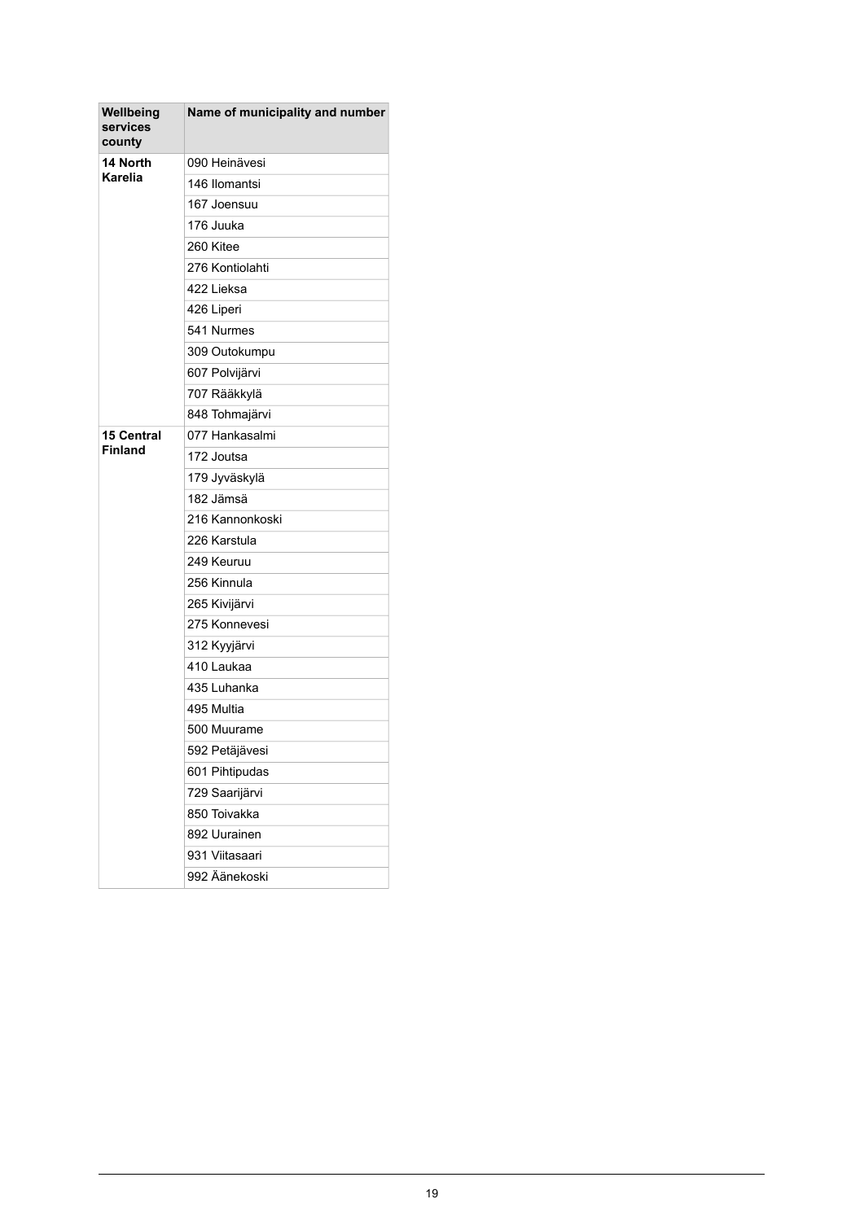| Wellbeing<br>services<br>county | Name of municipality and number |
|---------------------------------|---------------------------------|
| 14 North<br><b>Karelia</b>      | 090 Heinävesi                   |
|                                 | 146 Ilomantsi                   |
|                                 | 167 Joensuu                     |
|                                 | 176 Juuka                       |
|                                 | 260 Kitee                       |
|                                 | 276 Kontiolahti                 |
|                                 | 422 Lieksa                      |
|                                 | 426 Liperi                      |
|                                 | 541 Nurmes                      |
|                                 | 309 Outokumpu                   |
|                                 | 607 Polvijärvi                  |
|                                 | 707 Rääkkylä                    |
|                                 | 848 Tohmajärvi                  |
| <b>15 Central</b>               | 077 Hankasalmi                  |
| <b>Finland</b>                  | 172 Joutsa                      |
|                                 | 179 Jyväskylä                   |
|                                 | 182 Jämsä                       |
|                                 | 216 Kannonkoski                 |
|                                 | 226 Karstula                    |
|                                 | 249 Keuruu                      |
|                                 | 256 Kinnula                     |
|                                 | 265 Kivijärvi                   |
|                                 | 275 Konnevesi                   |
|                                 | 312 Kyyjärvi                    |
|                                 | 410 Laukaa                      |
|                                 | 435 Luhanka                     |
|                                 | 495 Multia                      |
|                                 | 500 Muurame                     |
|                                 | 592 Petäjävesi                  |
|                                 | 601 Pihtipudas                  |
|                                 | 729 Saarijärvi                  |
|                                 | 850 Toivakka                    |
|                                 | 892 Uurainen                    |
|                                 | 931 Viitasaari                  |
|                                 | 992 Äänekoski                   |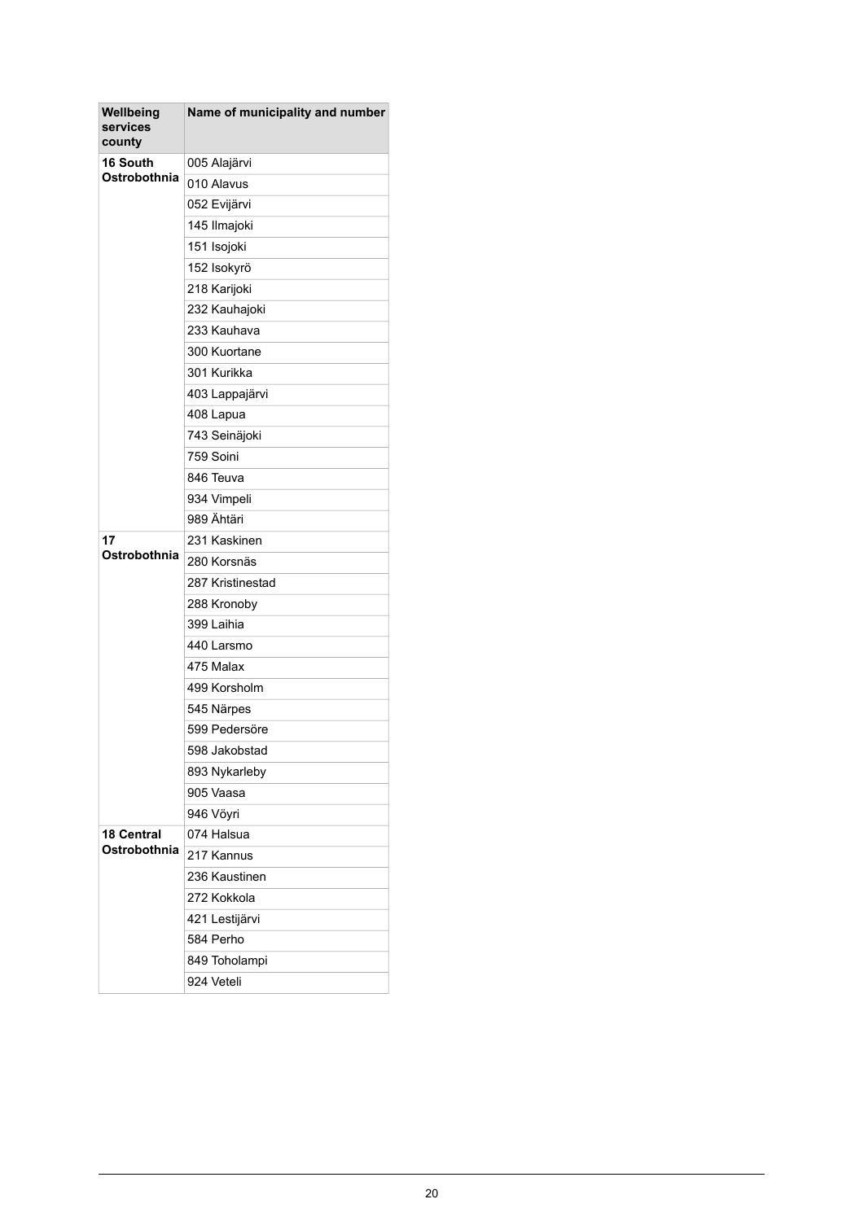| Wellbeing<br>services<br>county | Name of municipality and number |
|---------------------------------|---------------------------------|
| 16 South<br>Ostrobothnia        | 005 Alajärvi                    |
|                                 | 010 Alavus                      |
|                                 | 052 Evijärvi                    |
|                                 | 145 Ilmajoki                    |
|                                 | 151 Isojoki                     |
|                                 | 152 Isokyrö                     |
|                                 | 218 Karijoki                    |
|                                 | 232 Kauhajoki                   |
|                                 | 233 Kauhava                     |
|                                 | 300 Kuortane                    |
|                                 | 301 Kurikka                     |
|                                 | 403 Lappajärvi                  |
|                                 | 408 Lapua                       |
|                                 | 743 Seinäjoki                   |
|                                 | 759 Soini                       |
|                                 | 846 Teuva                       |
|                                 | 934 Vimpeli                     |
|                                 | 989 Ähtäri                      |
| 17                              | 231 Kaskinen                    |
| Ostrobothnia                    | 280 Korsnäs                     |
|                                 | 287 Kristinestad                |
|                                 | 288 Kronoby                     |
|                                 | 399 Laihia                      |
|                                 | 440 Larsmo                      |
|                                 | 475 Malax                       |
|                                 | 499 Korsholm                    |
|                                 | 545 Närpes                      |
|                                 | 599 Pedersöre                   |
|                                 | 598 Jakobstad                   |
|                                 | 893 Nykarleby                   |
|                                 | 905 Vaasa                       |
|                                 | 946 Vöyri                       |
| 18 Central                      | 074 Halsua                      |
| Ostrobothnia                    | 217 Kannus                      |
|                                 | 236 Kaustinen                   |
|                                 | 272 Kokkola                     |
|                                 | 421 Lestijärvi                  |
|                                 | 584 Perho                       |
|                                 | 849 Toholampi                   |
|                                 | 924 Veteli                      |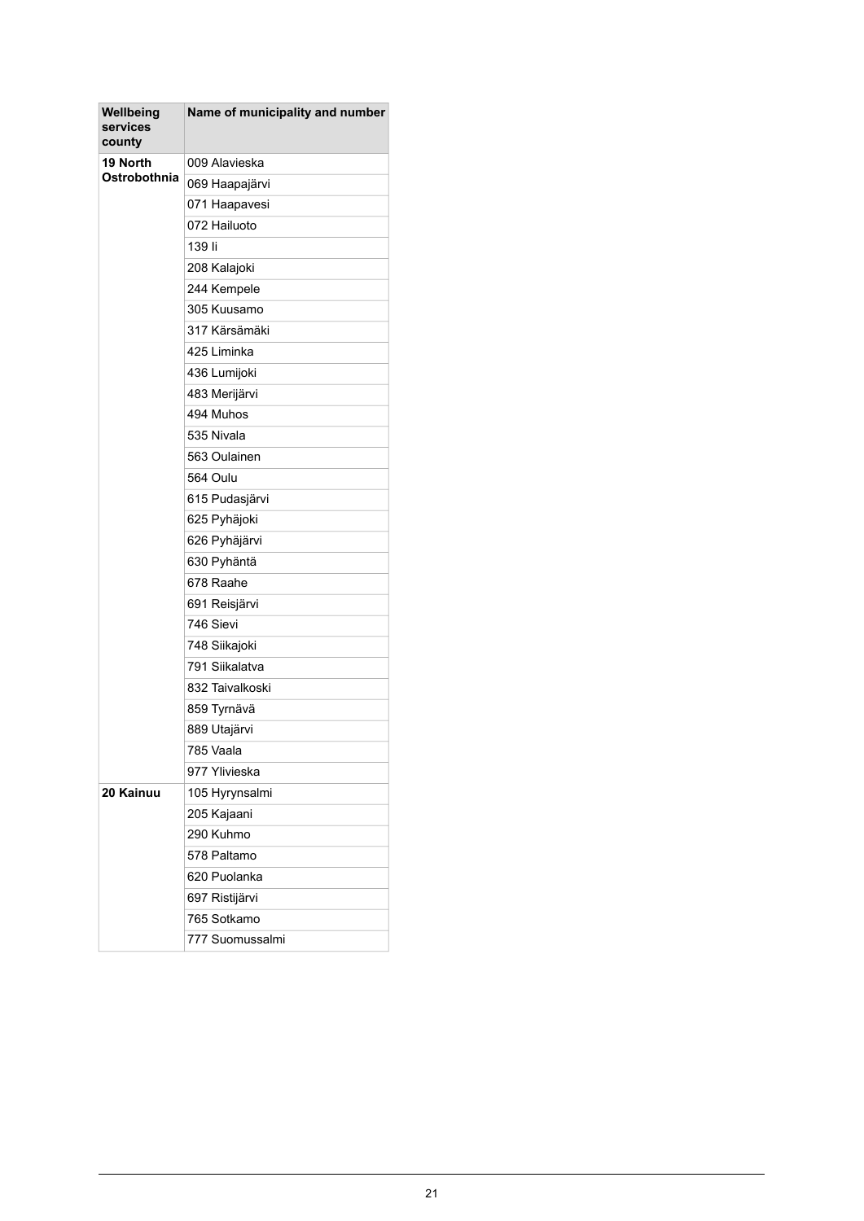| Wellbeing<br>services<br>county | Name of municipality and number |
|---------------------------------|---------------------------------|
| 19 North                        | 009 Alavieska                   |
| Ostrobothnia                    | 069 Haapajärvi                  |
|                                 | 071 Haapavesi                   |
|                                 | 072 Hailuoto                    |
|                                 | 139 li                          |
|                                 | 208 Kalajoki                    |
|                                 | 244 Kempele                     |
|                                 | 305 Kuusamo                     |
|                                 | 317 Kärsämäki                   |
|                                 | 425 Liminka                     |
|                                 | 436 Lumijoki                    |
|                                 | 483 Merijärvi                   |
|                                 | 494 Muhos                       |
|                                 | 535 Nivala                      |
|                                 | 563 Oulainen                    |
|                                 | 564 Oulu                        |
|                                 | 615 Pudasjärvi                  |
|                                 | 625 Pyhäjoki                    |
|                                 | 626 Pyhäjärvi                   |
|                                 | 630 Pyhäntä                     |
|                                 | 678 Raahe                       |
|                                 | 691 Reisjärvi                   |
|                                 | 746 Sievi                       |
|                                 | 748 Siikajoki                   |
|                                 | 791 Siikalatva                  |
|                                 | 832 Taivalkoski                 |
|                                 | 859 Tyrnävä                     |
|                                 | 889 Utajärvi                    |
|                                 | 785 Vaala                       |
|                                 | 977 Ylivieska                   |
| 20 Kainuu                       | 105 Hyrynsalmi                  |
|                                 | 205 Kajaani                     |
|                                 | 290 Kuhmo                       |
|                                 | 578 Paltamo                     |
|                                 | 620 Puolanka                    |
|                                 | 697 Ristijärvi                  |
|                                 | 765 Sotkamo                     |
|                                 | 777 Suomussalmi                 |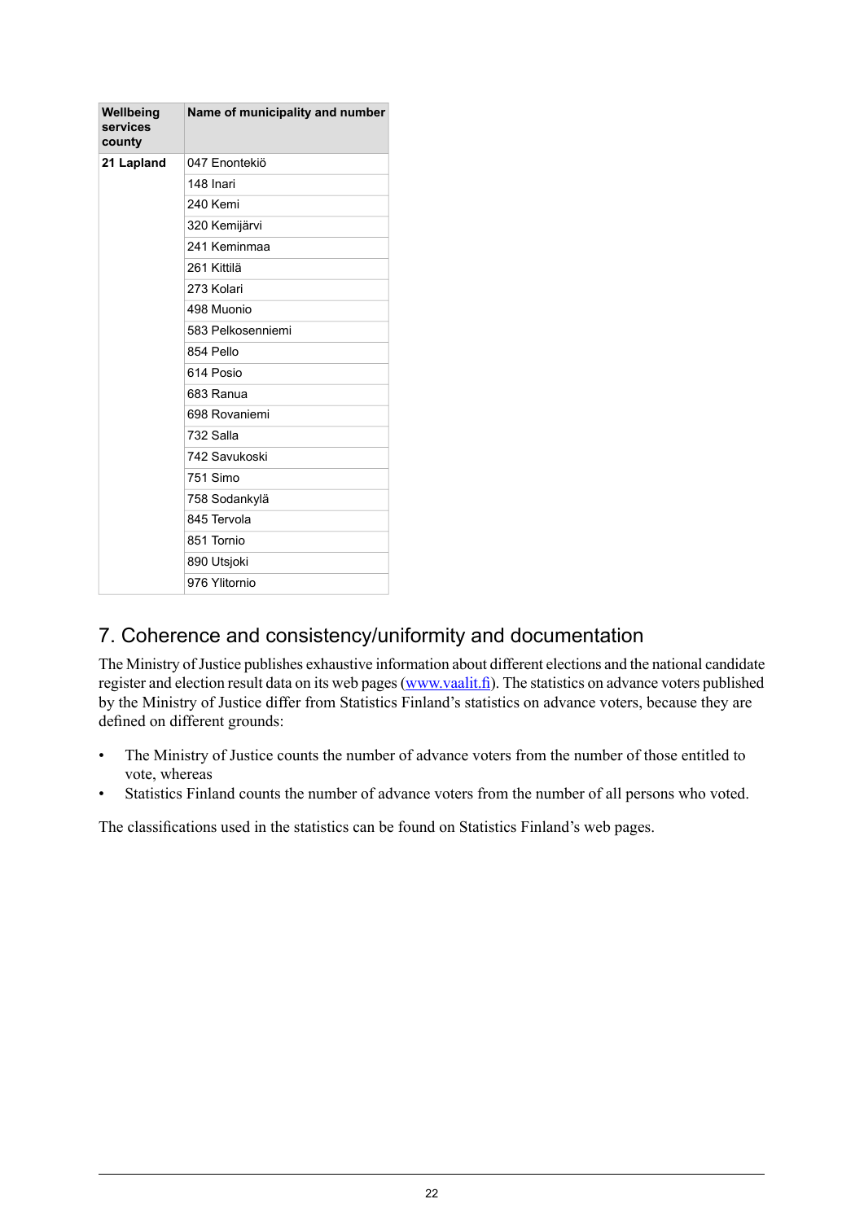| Wellbeing<br>services<br>county | Name of municipality and number |
|---------------------------------|---------------------------------|
| 21 Lapland                      | 047 Enontekiö                   |
|                                 | 148 Inari                       |
|                                 | 240 Kemi                        |
|                                 | 320 Kemijärvi                   |
|                                 | 241 Keminmaa                    |
|                                 | 261 Kittilä                     |
|                                 | 273 Kolari                      |
|                                 | 498 Muonio                      |
|                                 | 583 Pelkosenniemi               |
|                                 | 854 Pello                       |
|                                 | 614 Posio                       |
|                                 | 683 Ranua                       |
|                                 | 698 Rovaniemi                   |
|                                 | 732 Salla                       |
|                                 | 742 Savukoski                   |
|                                 | 751 Simo                        |
|                                 | 758 Sodankylä                   |
|                                 | 845 Tervola                     |
|                                 | 851 Tornio                      |
|                                 | 890 Utsjoki                     |
|                                 | 976 Ylitornio                   |

## 7. Coherence and consistency/uniformity and documentation

The Ministry of Justice publishes exhaustive information about different elections and the national candidate register and election result data on its web pages([www.vaalit.fi](http://www.vaalit.fi)). The statistics on advance voters published by the Ministry of Justice differ from Statistics Finland's statistics on advance voters, because they are defined on different grounds:

- The Ministry of Justice counts the number of advance voters from the number of those entitled to vote, whereas
- Statistics Finland counts the number of advance voters from the number of all persons who voted.

The classifications used in the statistics can be found on Statistics Finland's web pages.